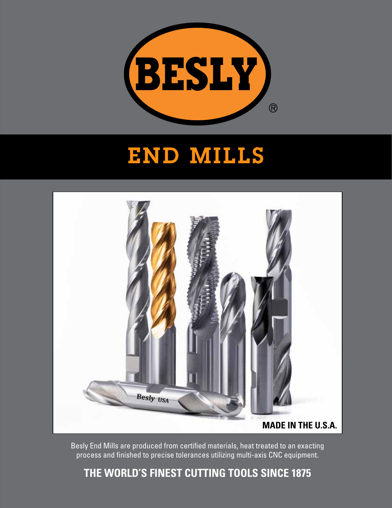

# END MILLS



Besly End Mills are produced from certified materials, heat treated to an exacting process and finished to precise tolerances utilizing multi-axis CNC equipment.

## **THE WORLD'S FINEST CUTTING TOOLS SINCE 1875**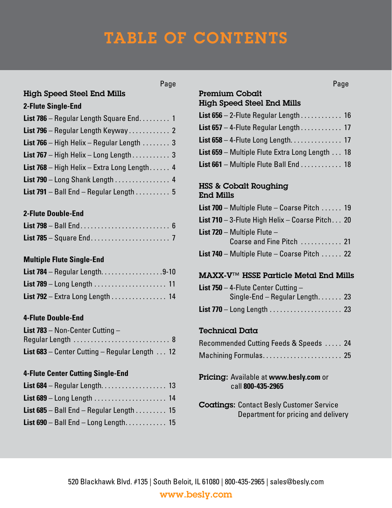# TABLE OF CONTENTS

### High Speed Steel End Mills

#### **2-Flute Single-End**

| List 786 - Regular Length Square End. 1            |  |
|----------------------------------------------------|--|
|                                                    |  |
| <b>List 766</b> – High Helix – Regular Length  3   |  |
| List 767 – High Helix – Long Length 3              |  |
| <b>List 768</b> – High Helix – Extra Long Length 4 |  |
| <b>List 790</b> – Long Shank Length 4              |  |
| <b>List 791</b> – Ball End – Regular Length 5      |  |

#### **2-Flute Double-End**

#### **Multiple Flute Single-End**

| <b>List 784</b> – Regular Length9-10 |  |
|--------------------------------------|--|
|                                      |  |
| List $792 -$ Extra Long Length 14    |  |

#### **4-Flute Double-End**

| <b>List 783</b> – Non-Center Cutting –                        |  |
|---------------------------------------------------------------|--|
|                                                               |  |
| <b>List 683</b> – Center Cutting – Regular Length $\ldots$ 12 |  |

#### **4-Flute Center Cutting Single-End**

| <b>List 685</b> – Ball End – Regular Length  15 |  |
|-------------------------------------------------|--|
|                                                 |  |

#### Premium Cobalt Page **Page 2012**

## High Speed Steel End Mills

| <b>List <math>656 - 2</math>-Flute Regular Length</b> 16 |  |
|----------------------------------------------------------|--|
| <b>List 657</b> – 4-Flute Regular Length 17              |  |
|                                                          |  |
| List 659 – Multiple Flute Extra Long Length  18          |  |
| <b>List 661</b> – Multiple Flute Ball End  18            |  |

#### HSS & Cobalt Roughing End Mills

| List 700 - Multiple Flute - Coarse Pitch  19       |  |
|----------------------------------------------------|--|
| List 710 - 3-Flute High Helix - Coarse Pitch 20    |  |
| <b>List 720</b> – Multiple Flute –                 |  |
| Coarse and Fine Pitch  21                          |  |
| <b>List 740</b> – Multiple Flute – Coarse Pitch 22 |  |

#### MAXX-V™ HSSE Particle Metal End Mills

| <b>List 750</b> – 4-Flute Center Cutting – |  |
|--------------------------------------------|--|
| Single-End - Regular Length 23             |  |
|                                            |  |

#### Technical Data

| Recommended Cutting Feeds & Speeds  24 |  |
|----------------------------------------|--|
| Machining Formulas 25                  |  |

#### Pricing: Available at **www.besly.com** or call **800-435-2965**

Coatings: Contact Besly Customer Service Department for pricing and delivery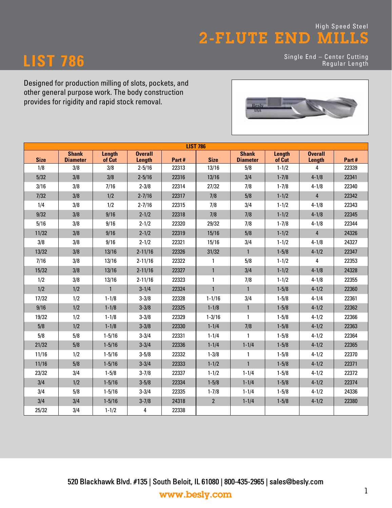## **LIST 786**

Single End – Center Cutting Regular Length



| <b>LIST 786</b> |                                 |                  |                                 |       |                 |                                 |                  |                                 |       |
|-----------------|---------------------------------|------------------|---------------------------------|-------|-----------------|---------------------------------|------------------|---------------------------------|-------|
| <b>Size</b>     | <b>Shank</b><br><b>Diameter</b> | Length<br>of Cut | <b>Overall</b><br><b>Length</b> | Part# | <b>Size</b>     | <b>Shank</b><br><b>Diameter</b> | Length<br>of Cut | <b>Overall</b><br><b>Length</b> | Part# |
| 1/8             | 3/8                             | 3/8              | $2 - 5/16$                      | 22313 | 13/16           | 5/8                             | $1 - 1/2$        | 4                               | 22339 |
| 5/32            | 3/8                             | 3/8              | $2 - 5/16$                      | 22316 | 13/16           | 3/4                             | $1 - 7/8$        | $4 - 1/8$                       | 22341 |
| 3/16            | 3/8                             | 7/16             | $2 - 3/8$                       | 22314 | 27/32           | 7/8                             | $1 - 7/8$        | $4 - 1/8$                       | 22340 |
| $7/32$          | 3/8                             | 1/2              | $2 - 7/16$                      | 22317 | 7/8             | 5/8                             | $1 - 1/2$        | $\overline{4}$                  | 22342 |
| 1/4             | 3/8                             | 1/2              | $2 - 7/16$                      | 22315 | 7/8             | 3/4                             | $1 - 1/2$        | $4 - 1/8$                       | 22343 |
| 9/32            | 3/8                             | 9/16             | $2 - 1/2$                       | 22318 | 7/8             | 7/8                             | $1 - 1/2$        | $4 - 1/8$                       | 22345 |
| 5/16            | 3/8                             | 9/16             | $2 - 1/2$                       | 22320 | 29/32           | 7/8                             | $1 - 7/8$        | $4 - 1/8$                       | 22344 |
| 11/32           | 3/8                             | 9/16             | $2 - 1/2$                       | 22319 | 15/16           | 5/8                             | $1 - 1/2$        | 4                               | 24326 |
| 3/8             | 3/8                             | 9/16             | $2 - 1/2$                       | 22321 | 15/16           | 3/4                             | $1 - 1/2$        | $4 - 1/8$                       | 24327 |
| 13/32           | 3/8                             | 13/16            | $2 - 11/16$                     | 22326 | 31/32           | $\mathbf{1}$                    | $1 - 5/8$        | $4 - 1/2$                       | 22347 |
| 7/16            | 3/8                             | 13/16            | $2 - 11/16$                     | 22322 | 1               | 5/8                             | $1 - 1/2$        | 4                               | 22353 |
| 15/32           | 3/8                             | 13/16            | $2 - 11/16$                     | 22327 | $\mathbf{1}$    | 3/4                             | $1 - 1/2$        | $4 - 1/8$                       | 24328 |
| 1/2             | 3/8                             | 13/16            | $2 - 11/16$                     | 22323 | 1               | 7/8                             | $1 - 1/2$        | $4 - 1/8$                       | 22355 |
| 1/2             | 1/2                             | $\mathbf{1}$     | $3 - 1/4$                       | 22324 | $\mathbf{1}$    | $\mathbf{1}$                    | $1 - 5/8$        | $4 - 1/2$                       | 22360 |
| 17/32           | 1/2                             | $1 - 1/8$        | $3 - 3/8$                       | 22328 | $1 - 1/16$      | 3/4                             | $1 - 5/8$        | $4 - 1/4$                       | 22361 |
| 9/16            | 1/2                             | $1 - 1/8$        | $3 - 3/8$                       | 22325 | $1 - 1/8$       | $\mathbf{1}$                    | $1 - 5/8$        | $4 - 1/2$                       | 22362 |
| 19/32           | 1/2                             | $1 - 1/8$        | $3 - 3/8$                       | 22329 | $1 - 3/16$      | $\mathbf{1}$                    | $1 - 5/8$        | $4 - 1/2$                       | 22366 |
| $5/8$           | 1/2                             | $1 - 1/8$        | $3 - 3/8$                       | 22330 | $1 - 1/4$       | 7/8                             | $1 - 5/8$        | $4 - 1/2$                       | 22363 |
| 5/8             | 5/8                             | $1 - 5/16$       | $3 - 3/4$                       | 22331 | $1 - 1/4$       | 1                               | $1 - 5/8$        | $4 - 1/2$                       | 22364 |
| 21/32           | 5/8                             | $1 - 5/16$       | $3 - 3/4$                       | 22336 | $1 - 1/4$       | $1 - 1/4$                       | $1 - 5/8$        | $4 - 1/2$                       | 22365 |
| 11/16           | 1/2                             | $1 - 5/16$       | $3 - 5/8$                       | 22332 | $1 - 3/8$       | 1                               | $1 - 5/8$        | $4 - 1/2$                       | 22370 |
| 11/16           | 5/8                             | $1 - 5/16$       | $3 - 3/4$                       | 22333 | $1 - 1/2$       | 1                               | $1 - 5/8$        | $4 - 1/2$                       | 22371 |
| 23/32           | 3/4                             | $1 - 5/8$        | $3 - 7/8$                       | 22337 | $1 - 1/2$       | $1 - 1/4$                       | $1 - 5/8$        | $4 - 1/2$                       | 22372 |
| 3/4             | 1/2                             | $1 - 5/16$       | $3 - 5/8$                       | 22334 | $1 - 5/8$       | $1 - 1/4$                       | $1 - 5/8$        | $4 - 1/2$                       | 22374 |
| 3/4             | 5/8                             | $1 - 5/16$       | $3 - 3/4$                       | 22335 | $1 - 7/8$       | $1 - 1/4$                       | $1 - 5/8$        | $4 - 1/2$                       | 24336 |
| 3/4             | 3/4                             | $1 - 5/16$       | $3 - 7/8$                       | 24318 | $2\overline{ }$ | $1 - 1/4$                       | $1 - 5/8$        | $4 - 1/2$                       | 22380 |
| 25/32           | 3/4                             | $1 - 1/2$        | 4                               | 22338 |                 |                                 |                  |                                 |       |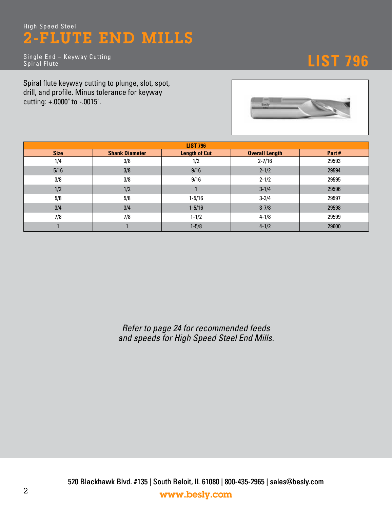Single End – Keyway Cutting Spiral Flute

# **LIST 796**

Spiral flute keyway cutting to plunge, slot, spot, drill, and profile. Minus tolerance for keyway cutting: +.0000" to -.0015".



| <b>LIST 796</b> |                       |                      |                       |       |  |  |  |  |
|-----------------|-----------------------|----------------------|-----------------------|-------|--|--|--|--|
| <b>Size</b>     | <b>Shank Diameter</b> | <b>Length of Cut</b> | <b>Overall Length</b> | Part# |  |  |  |  |
| 1/4             | 3/8                   | 1/2                  | $2 - 7/16$            | 29593 |  |  |  |  |
| 5/16            | 3/8                   | 9/16                 | $2 - 1/2$             | 29594 |  |  |  |  |
| 3/8             | 3/8                   | 9/16                 | $2 - 1/2$             | 29595 |  |  |  |  |
| 1/2             | 1/2                   |                      | $3 - 1/4$             | 29596 |  |  |  |  |
| 5/8             | 5/8                   | $1 - 5/16$           | $3 - 3/4$             | 29597 |  |  |  |  |
| 3/4             | 3/4                   | $1 - 5/16$           | $3 - 7/8$             | 29598 |  |  |  |  |
| 7/8             | 7/8                   | $1 - 1/2$            | $4 - 1/8$             | 29599 |  |  |  |  |
|                 |                       | $1 - 5/8$            | $4 - 1/2$             | 29600 |  |  |  |  |

*and speeds for High Speed Steel End Mills.*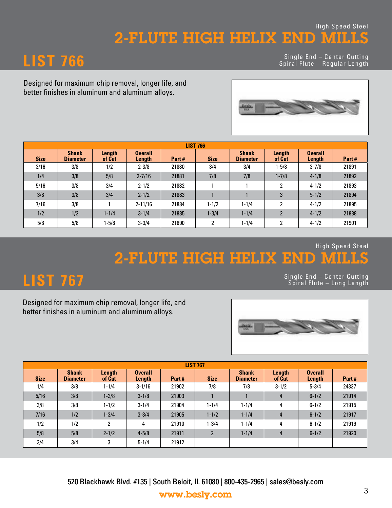### High Speed Steel 2-FLUTE HIGH HELIX END MILLS

**LIST 766** Single End – Center Cutting Spiral Flute – Regular Length

Designed for maximum chip removal, longer life, and better finishes in aluminum and aluminum alloys.



|             | <b>LIST 766</b>                 |                  |                          |       |                |                                 |                  |                          |       |
|-------------|---------------------------------|------------------|--------------------------|-------|----------------|---------------------------------|------------------|--------------------------|-------|
| <b>Size</b> | <b>Shank</b><br><b>Diameter</b> | Length<br>of Cut | <b>Overall</b><br>Length | Part# | <b>Size</b>    | <b>Shank</b><br><b>Diameter</b> | Length<br>of Cut | <b>Overall</b><br>Length | Part# |
| 3/16        | 3/8                             | 1/2              | $2 - 3/8$                | 21880 | 3/4            | 3/4                             | $1 - 5/8$        | $3 - 7/8$                | 21891 |
| 1/4         | 3/8                             | 5/8              | $2 - 7/16$               | 21881 | 7/8            | 7/8                             | $1 - 7/8$        | $4 - 1/8$                | 21892 |
| 5/16        | 3/8                             | 3/4              | $2 - 1/2$                | 21882 |                |                                 | 2                | $4 - 1/2$                | 21893 |
| 3/8         | 3/8                             | 3/4              | $2 - 1/2$                | 21883 |                |                                 | 3                | $5 - 1/2$                | 21894 |
| 7/16        | 3/8                             |                  | $2 - 11/16$              | 21884 | $1 - 1/2$      | $1 - 1/4$                       | 2                | $4 - 1/2$                | 21895 |
| 1/2         | 1/2                             | $1 - 1/4$        | $3 - 1/4$                | 21885 | $1 - 3/4$      | $1 - 1/4$                       | $\overline{2}$   | $4 - 1/2$                | 21888 |
| 5/8         | 5/8                             | 1-5/8            | $3 - 3/4$                | 21890 | $\overline{2}$ | $1 - 1/4$                       | <sup>2</sup>     | $4 - 1/2$                | 21901 |

# High Speed Steel



|                                                                                                         | <b>LIST 767</b>        |                     |                      |                |                    |                        |                     | Single End - Center Cutting<br>Spiral Flute - Long Length |                |
|---------------------------------------------------------------------------------------------------------|------------------------|---------------------|----------------------|----------------|--------------------|------------------------|---------------------|-----------------------------------------------------------|----------------|
| Designed for maximum chip removal, longer life, and<br>better finishes in aluminum and aluminum alloys. |                        |                     |                      |                |                    | Besla                  |                     |                                                           |                |
|                                                                                                         |                        |                     |                      |                | <b>LIST 767</b>    |                        |                     |                                                           |                |
|                                                                                                         |                        |                     |                      |                |                    |                        |                     |                                                           |                |
|                                                                                                         | <b>Shank</b>           | Length              | <b>Overall</b>       |                |                    | <b>Shank</b>           | Length              | <b>Overall</b>                                            |                |
| <b>Size</b><br>1/4                                                                                      | <b>Diameter</b><br>3/8 | of Cut<br>$1 - 1/4$ | Length<br>$3 - 1/16$ | Part#<br>21902 | <b>Size</b><br>7/8 | <b>Diameter</b><br>7/8 | of Cut<br>$3 - 1/2$ | Length<br>$5 - 3/4$                                       | Part#<br>24337 |
| 5/16                                                                                                    | 3/8                    | $1 - 3/8$           | $3 - 1/8$            | 21903          | $\mathbf{1}$       | $\mathbf{1}$           | 4                   | $6 - 1/2$                                                 | 21914          |
| 3/8                                                                                                     | 3/8                    | $1 - 1/2$           | $3 - 1/4$            | 21904          | $1 - 1/4$          | $1 - 1/4$              | 4                   | $6 - 1/2$                                                 | 21915          |
| 7/16                                                                                                    | 1/2                    | $1 - 3/4$           | $3 - 3/4$            | 21905          | $1 - 1/2$          | $1 - 1/4$              | 4                   | $6 - 1/2$                                                 | 21917          |
| 1/2                                                                                                     | 1/2                    | 2                   | 4                    | 21910          | $1 - 3/4$          | $1 - 1/4$              | 4                   | $6 - 1/2$                                                 | 21919          |
| 5/8                                                                                                     | 5/8                    | $2 - 1/2$           | $4 - 5/8$            | 21911          | $\overline{2}$     | $1 - 1/4$              | 4                   | $6 - 1/2$                                                 | 21920          |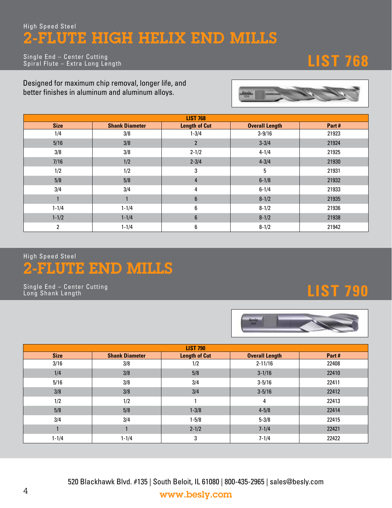### High Speed Steel 2-FLUTE HIGH HELIX END MILLS

**LIST 768** Single End – Center Cutting Spiral Flute – Extra Long Length

Designed for maximum chip removal, longer life, and better finishes in aluminum and aluminum alloys.



|              |                       | <b>LIST 768</b>      |                       |       |
|--------------|-----------------------|----------------------|-----------------------|-------|
| <b>Size</b>  | <b>Shank Diameter</b> | <b>Length of Cut</b> | <b>Overall Length</b> | Part# |
| 1/4          | 3/8                   | $1 - 3/4$            | $3 - 9/16$            | 21923 |
| 5/16         | 3/8                   | 2                    | $3 - 3/4$             | 21924 |
| 3/8          | 3/8                   | $2 - 1/2$            | $4 - 1/4$             | 21925 |
| 7/16         | 1/2                   | $2 - 3/4$            | $4 - 3/4$             | 21930 |
| 1/2          | 1/2                   | 3                    | 5                     | 21931 |
| 5/8          | 5/8                   | $\overline{4}$       | $6 - 1/8$             | 21932 |
| 3/4          | 3/4                   | 4                    | $6 - 1/4$             | 21933 |
|              |                       | $6\phantom{1}$       | $8 - 1/2$             | 21935 |
| $1 - 1/4$    | $1 - 1/4$             | 6                    | $8 - 1/2$             | 21936 |
| $1 - 1/2$    | $1 - 1/4$             | $6\phantom{1}$       | $8 - 1/2$             | 21938 |
| $\mathbf{2}$ | $1 - 1/4$             | 6                    | $8 - 1/2$             | 21942 |

## 2-FLUTE END MILLS High Speed Steel

**LIST 790** Single End – Center Cutting Long Shank Length



|             |                       | <b>LIST 790</b>      |                       |       |
|-------------|-----------------------|----------------------|-----------------------|-------|
| <b>Size</b> | <b>Shank Diameter</b> | <b>Length of Cut</b> | <b>Overall Length</b> | Part# |
| 3/16        | 3/8                   | 1/2                  | $2 - 11/16$           | 22408 |
| 1/4         | 3/8                   | 5/8                  | $3 - 1/16$            | 22410 |
| 5/16        | 3/8                   | 3/4                  | $3 - 5/16$            | 22411 |
| 3/8         | 3/8                   | 3/4                  | $3 - 5/16$            | 22412 |
| 1/2         | 1/2                   |                      | 4                     | 22413 |
| 5/8         | 5/8                   | $1 - 3/8$            | $4 - 5/8$             | 22414 |
| 3/4         | 3/4                   | $1 - 5/8$            | $5 - 3/8$             | 22415 |
|             |                       | $2 - 1/2$            | $7 - 1/4$             | 22421 |
| $1 - 1/4$   | $1 - 1/4$             | 3                    | $7 - 1/4$             | 22422 |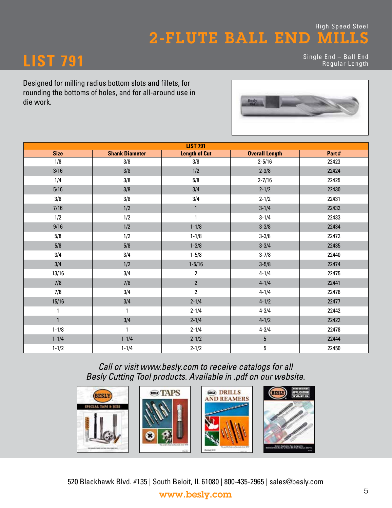## **LIST 791** Single End – Ball End Regular Length

Designed for milling radius bottom slots and fillets, for rounding the bottoms of holes, and for all-around use in die work.



|              |                       | <b>LIST 791</b>      |                       |       |
|--------------|-----------------------|----------------------|-----------------------|-------|
| <b>Size</b>  | <b>Shank Diameter</b> | <b>Length of Cut</b> | <b>Overall Length</b> | Part# |
| 1/8          | 3/8                   | 3/8                  | $2 - 5/16$            | 22423 |
| 3/16         | 3/8                   | 1/2                  | $2 - 3/8$             | 22424 |
| 1/4          | 3/8                   | 5/8                  | $2 - 7/16$            | 22425 |
| 5/16         | 3/8                   | 3/4                  | $2 - 1/2$             | 22430 |
| 3/8          | 3/8                   | 3/4                  | $2 - 1/2$             | 22431 |
| 7/16         | 1/2                   | $\mathbf{1}$         | $3 - 1/4$             | 22432 |
| 1/2          | 1/2                   | 1                    | $3 - 1/4$             | 22433 |
| 9/16         | 1/2                   | $1 - 1/8$            | $3 - 3/8$             | 22434 |
| 5/8          | 1/2                   | $1 - 1/8$            | $3 - 3/8$             | 22472 |
| 5/8          | 5/8                   | $1 - 3/8$            | $3 - 3/4$             | 22435 |
| 3/4          | 3/4                   | $1 - 5/8$            | $3 - 7/8$             | 22440 |
| 3/4          | 1/2                   | $1 - 5/16$           | $3 - 5/8$             | 22474 |
| 13/16        | 3/4                   | $\overline{2}$       | $4 - 1/4$             | 22475 |
| 7/8          | 7/8                   | $\overline{2}$       | $4 - 1/4$             | 22441 |
| 7/8          | 3/4                   | $\overline{2}$       | $4 - 1/4$             | 22476 |
| 15/16        | 3/4                   | $2 - 1/4$            | $4 - 1/2$             | 22477 |
| $\mathbf{1}$ | 1                     | $2 - 1/4$            | $4 - 3/4$             | 22442 |
| $\mathbf{1}$ | 3/4                   | $2 - 1/4$            | $4 - 1/2$             | 22422 |
| $1 - 1/8$    | 1                     | $2 - 1/4$            | $4 - 3/4$             | 22478 |
| $1 - 1/4$    | $1 - 1/4$             | $2 - 1/2$            | $5\phantom{.0}$       | 22444 |
| $1 - 1/2$    | $1 - 1/4$             | $2 - 1/2$            | 5                     | 22450 |

*Call or visit www.besly.com to receive catalogs for all Besly Cutting Tool products. Available in .pdf on our website.*



520 Blackhawk Blvd. #135 | South Beloit, IL 61080 | 800-435-2965 | sales@besly.com www.besly.com 5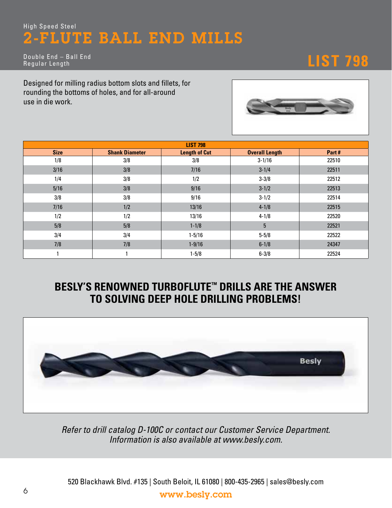# **LIST 798** Double End – Ball End Regular Length

Designed for milling radius bottom slots and fillets, for rounding the bottoms of holes, and for all-around use in die work.



|             |                       | <b>LIST 798</b>      |                       |       |
|-------------|-----------------------|----------------------|-----------------------|-------|
| <b>Size</b> | <b>Shank Diameter</b> | <b>Length of Cut</b> | <b>Overall Length</b> | Part# |
| 1/8         | 3/8                   | 3/8                  | $3 - 1/16$            | 22510 |
| 3/16        | 3/8                   | 7/16                 | $3 - 1/4$             | 22511 |
| 1/4         | 3/8                   | 1/2                  | $3 - 3/8$             | 22512 |
| 5/16        | 3/8                   | 9/16                 | $3 - 1/2$             | 22513 |
| 3/8         | 3/8                   | 9/16                 | $3 - 1/2$             | 22514 |
| 7/16        | 1/2                   | 13/16                | $4 - 1/8$             | 22515 |
| 1/2         | 1/2                   | 13/16                | $4 - 1/8$             | 22520 |
| 5/8         | 5/8                   | $1 - 1/8$            | 5                     | 22521 |
| 3/4         | 3/4                   | $1 - 5/16$           | $5 - 5/8$             | 22522 |
| 7/8         | 7/8                   | $1 - 9/16$           | $6 - 1/8$             | 24347 |
|             |                       | $1 - 5/8$            | $6 - 3/8$             | 22524 |

## **BESLY'S RENOWNED TURBOFLUTE™ DRILLS ARE THE ANSWER TO SOLVING DEEP HOLE DRILLING PROBLEMS!**



*Refer to drill catalog D-100C or contact our Customer Service Department. Information is also available at www.besly.com.*

520 Blackhawk Blvd. #135 | South Beloit, IL 61080 | 800-435-2965 | sales@besly.com <sup>6</sup> www.besly.com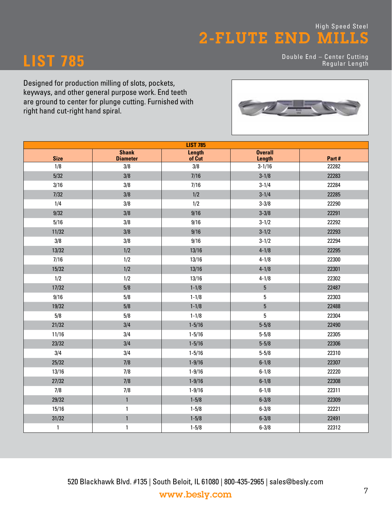**LIST 785** Double End – Center Cutting Regular Length

Designed for production milling of slots, pockets, keyways, and other general purpose work. End teeth are ground to center for plunge cutting. Furnished with right hand cut-right hand spiral.



|              |                                 | <b>LIST 785</b>  |                          |       |
|--------------|---------------------------------|------------------|--------------------------|-------|
| <b>Size</b>  | <b>Shank</b><br><b>Diameter</b> | Length<br>of Cut | <b>Overall</b><br>Length | Part# |
| 1/8          | 3/8                             | 3/8              | $3 - 1/16$               | 22282 |
| 5/32         | 3/8                             | 7/16             | $3 - 1/8$                | 22283 |
| 3/16         | 3/8                             | 7/16             | $3 - 1/4$                | 22284 |
| 7/32         | 3/8                             | 1/2              | $3 - 1/4$                | 22285 |
| 1/4          | 3/8                             | 1/2              | $3 - 3/8$                | 22290 |
| 9/32         | 3/8                             | 9/16             | $3 - 3/8$                | 22291 |
| 5/16         | 3/8                             | 9/16             | $3 - 1/2$                | 22292 |
| 11/32        | 3/8                             | 9/16             | $3 - 1/2$                | 22293 |
| 3/8          | 3/8                             | 9/16             | $3 - 1/2$                | 22294 |
| 13/32        | 1/2                             | 13/16            | $4 - 1/8$                | 22295 |
| 7/16         | 1/2                             | 13/16            | $4 - 1/8$                | 22300 |
| 15/32        | 1/2                             | 13/16            | $4 - 1/8$                | 22301 |
| 1/2          | 1/2                             | 13/16            | $4 - 1/8$                | 22302 |
| 17/32        | 5/8                             | $1 - 1/8$        | $\overline{5}$           | 22487 |
| 9/16         | 5/8                             | $1 - 1/8$        | 5                        | 22303 |
| 19/32        | 5/8                             | $1 - 1/8$        | $\overline{5}$           | 22488 |
| 5/8          | 5/8                             | $1 - 1/8$        | 5                        | 22304 |
| 21/32        | 3/4                             | $1 - 5/16$       | $5 - 5/8$                | 22490 |
| 11/16        | 3/4                             | $1 - 5/16$       | $5 - 5/8$                | 22305 |
| 23/32        | 3/4                             | $1 - 5/16$       | $5 - 5/8$                | 22306 |
| 3/4          | 3/4                             | $1 - 5/16$       | $5 - 5/8$                | 22310 |
| 25/32        | 7/8                             | $1 - 9/16$       | $6 - 1/8$                | 22307 |
| 13/16        | 7/8                             | $1 - 9/16$       | $6 - 1/8$                | 22220 |
| 27/32        | 7/8                             | $1 - 9/16$       | $6 - 1/8$                | 22308 |
| 7/8          | 7/8                             | $1 - 9/16$       | $6 - 1/8$                | 22311 |
| 29/32        | $\mathbf{1}$                    | $1 - 5/8$        | $6 - 3/8$                | 22309 |
| 15/16        | $\mathbf{1}$                    | $1 - 5/8$        | $6 - 3/8$                | 22221 |
| 31/32        | $\mathbf{1}$                    | $1 - 5/8$        | $6 - 3/8$                | 22491 |
| $\mathbf{1}$ | 1                               | $1 - 5/8$        | $6 - 3/8$                | 22312 |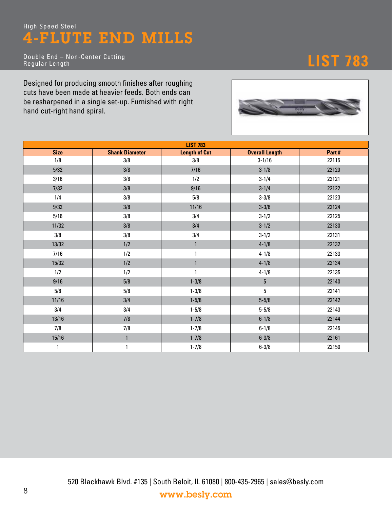**LIST 783** Double End – Non-Center Cutting Regular Length

Designed for producing smooth finishes after roughing cuts have been made at heavier feeds. Both ends can be resharpened in a single set-up. Furnished with right hand cut-right hand spiral.



|             |                       | <b>LIST 783</b>      |                       |       |
|-------------|-----------------------|----------------------|-----------------------|-------|
| <b>Size</b> | <b>Shank Diameter</b> | <b>Length of Cut</b> | <b>Overall Length</b> | Part# |
| 1/8         | 3/8                   | 3/8                  | $3 - 1/16$            | 22115 |
| $5/32$      | 3/8                   | 7/16                 | $3 - 1/8$             | 22120 |
| 3/16        | 3/8                   | 1/2                  | $3 - 1/4$             | 22121 |
| $7/32$      | 3/8                   | 9/16                 | $3 - 1/4$             | 22122 |
| 1/4         | 3/8                   | 5/8                  | $3 - 3/8$             | 22123 |
| 9/32        | 3/8                   | 11/16                | $3 - 3/8$             | 22124 |
| 5/16        | 3/8                   | 3/4                  | $3 - 1/2$             | 22125 |
| 11/32       | 3/8                   | 3/4                  | $3 - 1/2$             | 22130 |
| 3/8         | 3/8                   | 3/4                  | $3 - 1/2$             | 22131 |
| 13/32       | 1/2                   | $\mathbf{1}$         | $4 - 1/8$             | 22132 |
| 7/16        | 1/2                   | 1                    | $4 - 1/8$             | 22133 |
| 15/32       | 1/2                   | $\mathbf{1}$         | $4 - 1/8$             | 22134 |
| 1/2         | 1/2                   | 1                    | $4 - 1/8$             | 22135 |
| 9/16        | 5/8                   | $1 - 3/8$            | $5\phantom{.0}$       | 22140 |
| $5/8$       | 5/8                   | $1 - 3/8$            | 5                     | 22141 |
| 11/16       | 3/4                   | $1 - 5/8$            | $5 - 5/8$             | 22142 |
| 3/4         | 3/4                   | $1 - 5/8$            | $5 - 5/8$             | 22143 |
| 13/16       | 7/8                   | $1 - 7/8$            | $6 - 1/8$             | 22144 |
| 7/8         | 7/8                   | $1 - 7/8$            | $6 - 1/8$             | 22145 |
| 15/16       | $\mathbf{1}$          | $1 - 7/8$            | $6 - 3/8$             | 22161 |
| 1           | 1                     | $1 - 7/8$            | $6 - 3/8$             | 22150 |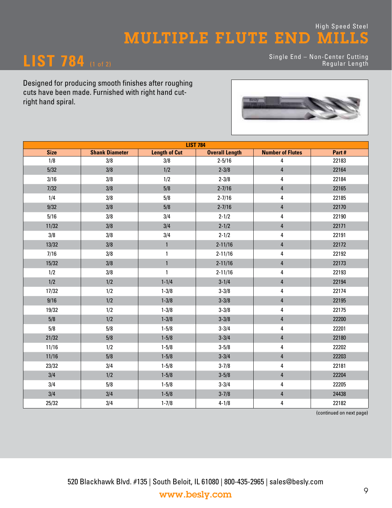### High Speed Steel MULTIPLE FLUTE END MILLS

## **LIST 784** (1 of 2)

Single End – Non-Center Cutting Regular Length

Designed for producing smooth finishes after roughing cuts have been made. Furnished with right hand cutright hand spiral.



| <b>LIST 784</b> |                       |                      |                       |                         |       |  |
|-----------------|-----------------------|----------------------|-----------------------|-------------------------|-------|--|
| <b>Size</b>     | <b>Shank Diameter</b> | <b>Length of Cut</b> | <b>Overall Length</b> | <b>Number of Flutes</b> | Part# |  |
| 1/8             | 3/8                   | 3/8                  | $2 - 5/16$            | 4                       | 22183 |  |
| 5/32            | 3/8                   | 1/2                  | $2 - 3/8$             | $\overline{4}$          | 22164 |  |
| 3/16            | 3/8                   | 1/2                  | $2 - 3/8$             | $\pmb{4}$               | 22184 |  |
| $7/32$          | 3/8                   | 5/8                  | $2 - 7/16$            | $\overline{4}$          | 22165 |  |
| 1/4             | 3/8                   | 5/8                  | $2 - 7/16$            | $\pmb{4}$               | 22185 |  |
| 9/32            | 3/8                   | 5/8                  | $2 - 7/16$            | $\overline{4}$          | 22170 |  |
| 5/16            | 3/8                   | 3/4                  | $2 - 1/2$             | $\pmb{4}$               | 22190 |  |
| 11/32           | 3/8                   | 3/4                  | $2 - 1/2$             | $\overline{4}$          | 22171 |  |
| 3/8             | 3/8                   | 3/4                  | $2 - 1/2$             | 4                       | 22191 |  |
| 13/32           | 3/8                   | $\mathbf{1}$         | $2 - 11/16$           | $\overline{4}$          | 22172 |  |
| 7/16            | 3/8                   | $\mathbf{1}$         | $2 - 11/16$           | 4                       | 22192 |  |
| 15/32           | 3/8                   | $\mathbf{1}$         | $2 - 11/16$           | $\overline{4}$          | 22173 |  |
| 1/2             | 3/8                   | $\mathbf{1}$         | $2 - 11/16$           | 4                       | 22193 |  |
| 1/2             | 1/2                   | $1 - 1/4$            | $3 - 1/4$             | $\pmb{4}$               | 22194 |  |
| 17/32           | 1/2                   | $1 - 3/8$            | $3 - 3/8$             | 4                       | 22174 |  |
| 9/16            | 1/2                   | $1 - 3/8$            | $3 - 3/8$             | $\overline{4}$          | 22195 |  |
| 19/32           | 1/2                   | $1 - 3/8$            | $3 - 3/8$             | $\pmb{4}$               | 22175 |  |
| 5/8             | 1/2                   | $1 - 3/8$            | $3 - 3/8$             | $\overline{4}$          | 22200 |  |
| 5/8             | 5/8                   | $1 - 5/8$            | $3 - 3/4$             | 4                       | 22201 |  |
| 21/32           | $5/8$                 | $1 - 5/8$            | $3 - 3/4$             | $\overline{4}$          | 22180 |  |
| 11/16           | 1/2                   | $1 - 5/8$            | $3 - 5/8$             | $\pmb{4}$               | 22202 |  |
| 11/16           | 5/8                   | $1 - 5/8$            | $3 - 3/4$             | $\overline{4}$          | 22203 |  |
| 23/32           | 3/4                   | $1 - 5/8$            | $3 - 7/8$             | $\pmb{4}$               | 22181 |  |
| 3/4             | 1/2                   | $1 - 5/8$            | $3 - 5/8$             | $\overline{4}$          | 22204 |  |
| 3/4             | 5/8                   | $1 - 5/8$            | $3 - 3/4$             | 4                       | 22205 |  |
| 3/4             | 3/4                   | $1 - 5/8$            | $3 - 7/8$             | $\pmb{4}$               | 24438 |  |
| 25/32           | 3/4                   | $1 - 7/8$            | $4 - 1/8$             | 4                       | 22182 |  |

(continued on next page)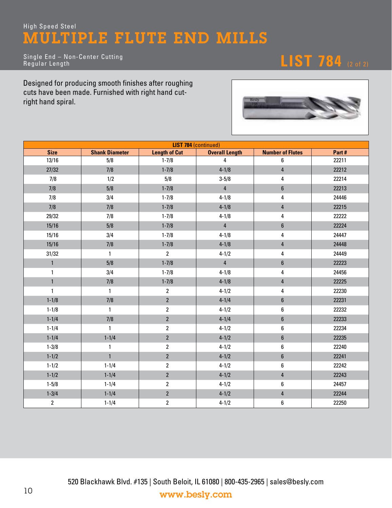## High Speed Steel MULTIPLE FLUTE END MILLS

Single End – Non-Center Cutting Regular Length

**LIST 784** (2 of 2)

Designed for producing smooth finishes after roughing cuts have been made. Furnished with right hand cutright hand spiral.



|                | <b>LIST 784 (continued)</b> |                      |                       |                         |       |  |  |  |
|----------------|-----------------------------|----------------------|-----------------------|-------------------------|-------|--|--|--|
| <b>Size</b>    | <b>Shank Diameter</b>       | <b>Length of Cut</b> | <b>Overall Length</b> | <b>Number of Flutes</b> | Part# |  |  |  |
| 13/16          | 5/8                         | $1 - 7/8$            | $\overline{4}$        | 6                       | 22211 |  |  |  |
| 27/32          | 7/8                         | $1 - 7/8$            | $4 - 1/8$             | $\overline{4}$          | 22212 |  |  |  |
| 7/8            | 1/2                         | 5/8                  | $3 - 5/8$             | 4                       | 22214 |  |  |  |
| 7/8            | 5/8                         | $1 - 7/8$            | $\overline{4}$        | $\bf 6$                 | 22213 |  |  |  |
| 7/8            | 3/4                         | $1 - 7/8$            | $4 - 1/8$             | 4                       | 24446 |  |  |  |
| 7/8            | 7/8                         | $1 - 7/8$            | $4 - 1/8$             | $\overline{\mathbf{4}}$ | 22215 |  |  |  |
| 29/32          | 7/8                         | $1 - 7/8$            | $4 - 1/8$             | 4                       | 22222 |  |  |  |
| 15/16          | 5/8                         | $1 - 7/8$            | $\pmb{4}$             | $\boldsymbol{6}$        | 22224 |  |  |  |
| 15/16          | 3/4                         | $1 - 7/8$            | $4 - 1/8$             | 4                       | 24447 |  |  |  |
| 15/16          | 7/8                         | $1 - 7/8$            | $4 - 1/8$             | $\overline{\mathbf{4}}$ | 24448 |  |  |  |
| 31/32          | $\mathbf{1}$                | $\overline{2}$       | $4 - 1/2$             | 4                       | 24449 |  |  |  |
| $\mathbf{1}$   | 5/8                         | $1 - 7/8$            | $\overline{4}$        | $\boldsymbol{6}$        | 22223 |  |  |  |
| $\mathbf{1}$   | 3/4                         | $1 - 7/8$            | $4 - 1/8$             | 4                       | 24456 |  |  |  |
| $\mathbf{1}$   | 7/8                         | $1 - 7/8$            | $4 - 1/8$             | $\overline{4}$          | 22225 |  |  |  |
| $\mathbf{1}$   | $\mathbf{1}$                | $\overline{2}$       | $4 - 1/2$             | 4                       | 22230 |  |  |  |
| $1 - 1/8$      | 7/8                         | $\overline{2}$       | $4 - 1/4$             | $\boldsymbol{6}$        | 22231 |  |  |  |
| $1 - 1/8$      | $\mathbf{1}$                | $\overline{2}$       | $4 - 1/2$             | 6                       | 22232 |  |  |  |
| $1 - 1/4$      | 7/8                         | $\overline{2}$       | $4 - 1/4$             | $\boldsymbol{6}$        | 22233 |  |  |  |
| $1 - 1/4$      | $\mathbf{1}$                | $\overline{2}$       | $4 - 1/2$             | 6                       | 22234 |  |  |  |
| $1 - 1/4$      | $1 - 1/4$                   | $\overline{2}$       | $4 - 1/2$             | $\bf 6$                 | 22235 |  |  |  |
| $1 - 3/8$      | $\mathbf{1}$                | $\overline{2}$       | $4 - 1/2$             | $\boldsymbol{6}$        | 22240 |  |  |  |
| $1 - 1/2$      | $\mathbf{1}$                | $\overline{2}$       | $4 - 1/2$             | $\boldsymbol{6}$        | 22241 |  |  |  |
| $1 - 1/2$      | $1 - 1/4$                   | $\overline{2}$       | $4 - 1/2$             | 6                       | 22242 |  |  |  |
| $1 - 1/2$      | $1 - 1/4$                   | $\overline{2}$       | $4 - 1/2$             | $\overline{\mathbf{4}}$ | 22243 |  |  |  |
| $1 - 5/8$      | $1 - 1/4$                   | $\overline{2}$       | $4 - 1/2$             | 6                       | 24457 |  |  |  |
| $1 - 3/4$      | $1 - 1/4$                   | $\overline{2}$       | $4 - 1/2$             | $\overline{4}$          | 22244 |  |  |  |
| $\overline{2}$ | $1 - 1/4$                   | $\overline{2}$       | $4 - 1/2$             | 6                       | 22250 |  |  |  |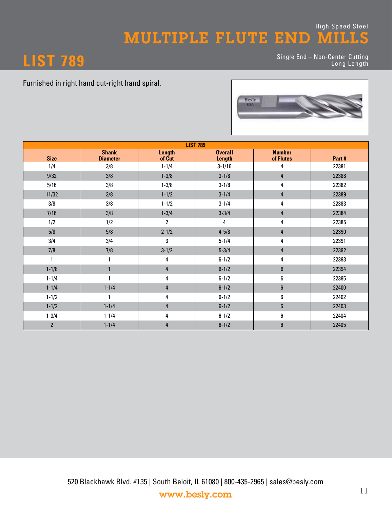### High Speed Steel MULTIPLE FLUTE END MILLS



**LIST 789** Single End – Non-Center Cutting Long Length

Furnished in right hand cut-right hand spiral.



| <b>LIST 789</b> |                                 |                         |                                 |                            |       |  |
|-----------------|---------------------------------|-------------------------|---------------------------------|----------------------------|-------|--|
| <b>Size</b>     | <b>Shank</b><br><b>Diameter</b> | <b>Length</b><br>of Cut | <b>Overall</b><br><b>Length</b> | <b>Number</b><br>of Flutes | Part# |  |
| 1/4             | 3/8                             | $1 - 1/4$               | $3 - 1/16$                      | 4                          | 22381 |  |
| 9/32            | 3/8                             | $1 - 3/8$               | $3 - 1/8$                       | 4                          | 22388 |  |
| 5/16            | 3/8                             | $1 - 3/8$               | $3 - 1/8$                       | 4                          | 22382 |  |
| 11/32           | 3/8                             | $1 - 1/2$               | $3 - 1/4$                       | $\overline{\mathbf{r}}$    | 22389 |  |
| 3/8             | 3/8                             | $1 - 1/2$               | $3 - 1/4$                       | 4                          | 22383 |  |
| 7/16            | 3/8                             | $1 - 3/4$               | $3 - 3/4$                       | $\overline{4}$             | 22384 |  |
| 1/2             | 1/2                             | $\overline{2}$          | 4                               | 4                          | 22385 |  |
| 5/8             | 5/8                             | $2 - 1/2$               | $4 - 5/8$                       | $\overline{4}$             | 22390 |  |
| 3/4             | 3/4                             | 3                       | $5 - 1/4$                       | 4                          | 22391 |  |
| 7/8             | 7/8                             | $3 - 1/2$               | $5 - 3/4$                       | 4                          | 22392 |  |
|                 | 1                               | 4                       | $6 - 1/2$                       | 4                          | 22393 |  |
| $1 - 1/8$       | $\mathbf{1}$                    | $\overline{4}$          | $6 - 1/2$                       | $\boldsymbol{6}$           | 22394 |  |
| $1 - 1/4$       | 1                               | 4                       | $6 - 1/2$                       | 6                          | 22395 |  |
| $1 - 1/4$       | $1 - 1/4$                       | 4                       | $6 - 1/2$                       | $\boldsymbol{6}$           | 22400 |  |
| $1 - 1/2$       | 1                               | 4                       | $6 - 1/2$                       | 6                          | 22402 |  |
| $1 - 1/2$       | $1 - 1/4$                       | $\overline{4}$          | $6 - 1/2$                       | $\boldsymbol{6}$           | 22403 |  |
| $1 - 3/4$       | $1 - 1/4$                       | 4                       | $6 - 1/2$                       | 6                          | 22404 |  |
| $\overline{2}$  | $1 - 1/4$                       | 4                       | $6 - 1/2$                       | 6                          | 22405 |  |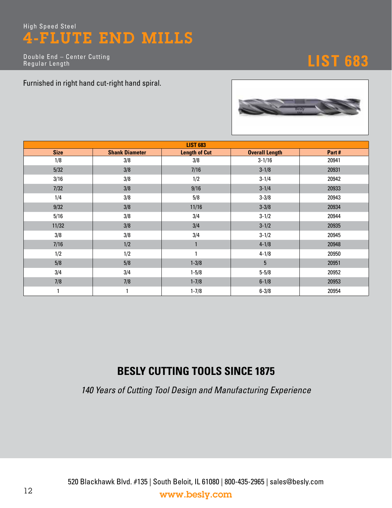**LIST 683** Double End – Center Cutting Regular Length

Furnished in right hand cut-right hand spiral.



| <b>LIST 683</b> |                       |                      |                       |       |  |  |  |
|-----------------|-----------------------|----------------------|-----------------------|-------|--|--|--|
| <b>Size</b>     | <b>Shank Diameter</b> | <b>Length of Cut</b> | <b>Overall Length</b> | Part# |  |  |  |
| 1/8             | 3/8                   | 3/8                  | $3 - 1/16$            | 20941 |  |  |  |
| 5/32            | 3/8                   | 7/16                 | $3 - 1/8$             | 20931 |  |  |  |
| 3/16            | 3/8                   | 1/2                  | $3 - 1/4$             | 20942 |  |  |  |
| 7/32            | 3/8                   | 9/16                 | $3 - 1/4$             | 20933 |  |  |  |
| 1/4             | 3/8                   | 5/8                  | $3 - 3/8$             | 20943 |  |  |  |
| 9/32            | 3/8                   | 11/16                | $3 - 3/8$             | 20934 |  |  |  |
| 5/16            | 3/8                   | 3/4                  | $3 - 1/2$             | 20944 |  |  |  |
| 11/32           | 3/8                   | 3/4                  | $3 - 1/2$             | 20935 |  |  |  |
| 3/8             | 3/8                   | 3/4                  | $3 - 1/2$             | 20945 |  |  |  |
| 7/16            | 1/2                   |                      | $4 - 1/8$             | 20948 |  |  |  |
| 1/2             | 1/2                   | 1                    | $4 - 1/8$             | 20950 |  |  |  |
| 5/8             | 5/8                   | $1 - 3/8$            | 5 <sup>5</sup>        | 20951 |  |  |  |
| 3/4             | 3/4                   | $1 - 5/8$            | $5 - 5/8$             | 20952 |  |  |  |
| 7/8             | 7/8                   | $1 - 7/8$            | $6 - 1/8$             | 20953 |  |  |  |
| 1               | $\mathbf{1}$          | $1 - 7/8$            | $6 - 3/8$             | 20954 |  |  |  |

## **BESLY CUTTING TOOLS SINCE 1875**

*140 Years of Cutting Tool Design and Manufacturing Experience*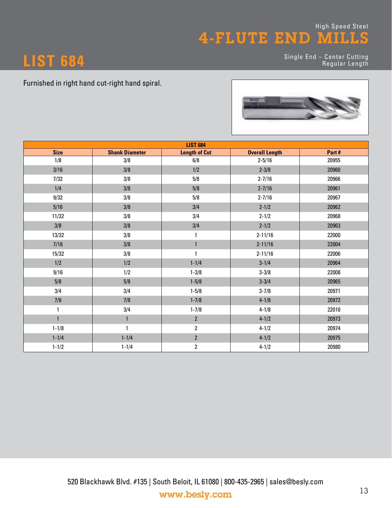**LIST 684** Single End – Center Cutting Regular Length

#### Furnished in right hand cut-right hand spiral.



|              |                       | <b>LIST 684</b>      |                       |       |
|--------------|-----------------------|----------------------|-----------------------|-------|
| <b>Size</b>  | <b>Shank Diameter</b> | <b>Length of Cut</b> | <b>Overall Length</b> | Part# |
| 1/8          | 3/8                   | 6/8                  | $2 - 5/16$            | 20955 |
| 3/16         | 3/8                   | 1/2                  | $2 - 3/8$             | 20960 |
| 7/32         | 3/8                   | 5/8                  | $2 - 7/16$            | 20966 |
| 1/4          | 3/8                   | 5/8                  | $2 - 7/16$            | 20961 |
| 9/32         | 3/8                   | 5/8                  | $2 - 7/16$            | 20967 |
| 5/16         | 3/8                   | 3/4                  | $2 - 1/2$             | 20962 |
| 11/32        | 3/8                   | 3/4                  | $2 - 1/2$             | 20968 |
| 3/8          | 3/8                   | 3/4                  | $2 - 1/2$             | 20963 |
| 13/32        | 3/8                   | 1                    | $2 - 11/16$           | 22000 |
| 7/16         | 3/8                   | $\mathbf{1}$         | $2 - 11/16$           | 22004 |
| 15/32        | 3/8                   | $\mathbf{1}$         | $2 - 11/16$           | 22006 |
| 1/2          | 1/2                   | $1 - 1/4$            | $3 - 1/4$             | 20964 |
| 9/16         | 1/2                   | $1 - 3/8$            | $3 - 3/8$             | 22008 |
| 5/8          | 5/8                   | $1 - 5/8$            | $3 - 3/4$             | 20965 |
| 3/4          | 3/4                   | $1 - 5/8$            | $3 - 7/8$             | 20971 |
| 7/8          | 7/8                   | $1 - 7/8$            | $4 - 1/8$             | 20972 |
| 1            | 3/4                   | $1 - 7/8$            | $4 - 1/8$             | 22010 |
| $\mathbf{1}$ | $\mathbf{1}$          | $\overline{2}$       | $4 - 1/2$             | 20973 |
| $1 - 1/8$    | 1                     | $\overline{2}$       | $4 - 1/2$             | 20974 |
| $1 - 1/4$    | $1 - 1/4$             | $\overline{2}$       | $4 - 1/2$             | 20975 |
| $1 - 1/2$    | $1 - 1/4$             | $\overline{2}$       | $4 - 1/2$             | 20980 |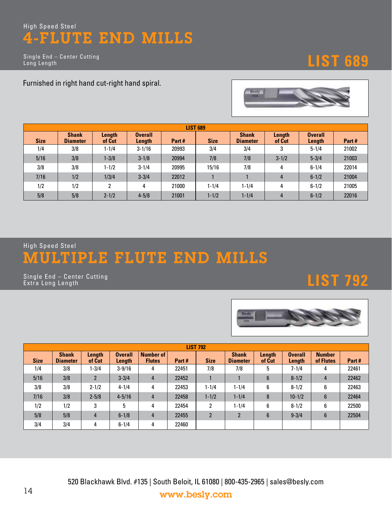Single End – Center Cutting Long Length

# **LIST 689**

Furnished in right hand cut-right hand spiral.



| <b>LIST 689</b> |                                 |                  |                          |       |             |                                 |                  |                          |       |  |  |  |
|-----------------|---------------------------------|------------------|--------------------------|-------|-------------|---------------------------------|------------------|--------------------------|-------|--|--|--|
| <b>Size</b>     | <b>Shank</b><br><b>Diameter</b> | Length<br>of Cut | <b>Overall</b><br>Length | Part# | <b>Size</b> | <b>Shank</b><br><b>Diameter</b> | Length<br>of Cut | <b>Overall</b><br>Length | Part# |  |  |  |
| 1/4             | 3/8                             | $1 - 1/4$        | $3 - 1/16$               | 20993 | 3/4         | 3/4                             | 3                | $5 - 1/4$                | 21002 |  |  |  |
| 5/16            | 3/8                             | $1 - 3/8$        | $3 - 1/8$                | 20994 | 7/8         | 7/8                             | $3 - 1/2$        | $5 - 3/4$                | 21003 |  |  |  |
| 3/8             | 3/8                             | $1 - 1/2$        | $3 - 1/4$                | 20995 | 15/16       | 7/8                             | 4                | $6 - 1/4$                | 22014 |  |  |  |
| 7/16            | 1/2                             | 1/3/4            | $3 - 3/4$                | 22012 |             |                                 | 4                | $6 - 1/2$                | 21004 |  |  |  |
| 1/2             | 1/2                             | 2                | 4                        | 21000 | $1 - 1/4$   | $1 - 1/4$                       | 4                | $6 - 1/2$                | 21005 |  |  |  |
| 5/8             | 5/8                             | $2 - 1/2$        | $4 - 5/8$                | 21001 | $1 - 1/2$   | $1 - 1/4$                       | 4                | $6 - 1/2$                | 22016 |  |  |  |

High Speed Steel

# MULTIPLE FLUTE END MILLS

**LIST 792** Single End – Center Cutting Extra Long Length



|             | <b>LIST 792</b>                 |                         |                          |                                   |       |                |                                 |                  |                          |                            |       |  |  |
|-------------|---------------------------------|-------------------------|--------------------------|-----------------------------------|-------|----------------|---------------------------------|------------------|--------------------------|----------------------------|-------|--|--|
| <b>Size</b> | <b>Shank</b><br><b>Diameter</b> | <b>Length</b><br>of Cut | <b>Overall</b><br>Length | <b>Number of</b><br><b>Flutes</b> | Part# | <b>Size</b>    | <b>Shank</b><br><b>Diameter</b> | Length<br>of Cut | <b>Overall</b><br>Length | <b>Number</b><br>of Flutes | Part# |  |  |
| 1/4         | 3/8                             | $-3/4$                  | $3 - 9/16$               | 4                                 | 22451 | 7/8            | 7/8                             | 5                | $7 - 1/4$                | 4                          | 22461 |  |  |
| 5/16        | 3/8                             | $\mathfrak{p}$          | $3 - 3/4$                | 4                                 | 22452 |                |                                 | 6                | $8 - 1/2$                | 4                          | 22462 |  |  |
| 3/8         | 3/8                             | $2 - 1/2$               | $4 - 1/4$                | 4                                 | 22453 | $1 - 1/4$      | $1 - 1/4$                       | 6                | $8 - 1/2$                | 6                          | 22463 |  |  |
| 7/16        | 3/8                             | $2 - 5/8$               | $4 - 5/16$               | 4                                 | 22458 | $1 - 1/2$      | $1 - 1/4$                       | 8                | $10 - 1/2$               | $6\phantom{1}6$            | 22464 |  |  |
| 1/2         | 1/2                             | 3                       | 5                        | 4                                 | 22454 | 2              | $1 - 1/4$                       | 6                | $8 - 1/2$                | 6                          | 22500 |  |  |
| 5/8         | 5/8                             | $\overline{4}$          | $6 - 1/8$                | 4                                 | 22455 | $\overline{2}$ | 2                               | 6                | $9 - 3/4$                | $6\phantom{1}6$            | 22504 |  |  |
| 3/4         | 3/4                             | 4                       | $6 - 1/4$                | 4                                 | 22460 |                |                                 |                  |                          |                            |       |  |  |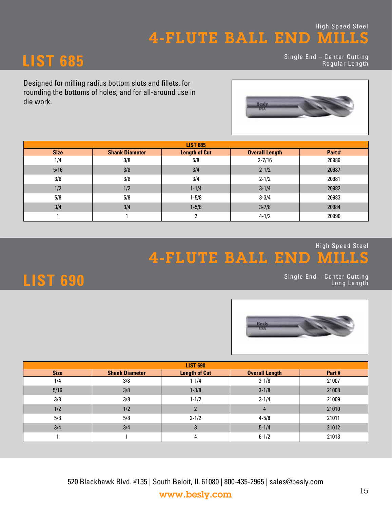**LIST 685** Single End – Center Cutting Regular Length

Designed for milling radius bottom slots and fillets, for rounding the bottoms of holes, and for all-around use in die work.



| <b>LIST 685</b> |                       |                      |                       |       |  |  |  |  |  |  |
|-----------------|-----------------------|----------------------|-----------------------|-------|--|--|--|--|--|--|
| <b>Size</b>     | <b>Shank Diameter</b> | <b>Length of Cut</b> | <b>Overall Length</b> | Part# |  |  |  |  |  |  |
| 1/4             | 3/8                   | 5/8                  | $2 - 7/16$            | 20986 |  |  |  |  |  |  |
| 5/16            | 3/8                   | 3/4                  | $2 - 1/2$             | 20987 |  |  |  |  |  |  |
| 3/8             | 3/8                   | 3/4                  | $2 - 1/2$             | 20981 |  |  |  |  |  |  |
| 1/2             | 1/2                   | $1 - 1/4$            | $3 - 1/4$             | 20982 |  |  |  |  |  |  |
| 5/8             | 5/8                   | $1 - 5/8$            | $3 - 3/4$             | 20983 |  |  |  |  |  |  |
| 3/4             | 3/4                   | $1 - 5/8$            | $3 - 7/8$             | 20984 |  |  |  |  |  |  |
|                 |                       | ົ                    | $4 - 1/2$             | 20990 |  |  |  |  |  |  |

### 4-FLUTE BALL END MILLS High Speed Steel

Single End – Center Cutting Long Length



| <b>LIST 690</b> |                       |                      |                       |       |  |  |  |  |  |  |
|-----------------|-----------------------|----------------------|-----------------------|-------|--|--|--|--|--|--|
| <b>Size</b>     | <b>Shank Diameter</b> | <b>Length of Cut</b> | <b>Overall Length</b> | Part# |  |  |  |  |  |  |
| 1/4             | 3/8                   | $1 - 1/4$            | $3 - 1/8$             | 21007 |  |  |  |  |  |  |
| 5/16            | 3/8                   | $1 - 3/8$            | $3 - 1/8$             | 21008 |  |  |  |  |  |  |
| 3/8             | 3/8                   | $1 - 1/2$            | $3 - 1/4$             | 21009 |  |  |  |  |  |  |
| 1/2             | 1/2                   |                      | $\overline{4}$        | 21010 |  |  |  |  |  |  |
| 5/8             | 5/8                   | $2 - 1/2$            | $4 - 5/8$             | 21011 |  |  |  |  |  |  |
| 3/4             | 3/4                   | 3                    | $5 - 1/4$             | 21012 |  |  |  |  |  |  |
|                 |                       | 4                    | $6 - 1/2$             | 21013 |  |  |  |  |  |  |

520 Blackhawk Blvd. #135 | South Beloit, IL 61080 | 800-435-2965 | sales@besly.com www.besly.com 15

## **LIST 690**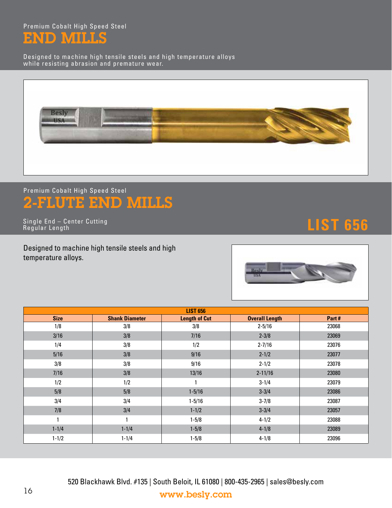Premium Cobalt High Speed Steel END MILLS

Designed to machine high tensile steels and high temperature alloys while resisting abrasion and premature wear.



## 2-FLUTE END MILLS Premium Cobalt High Speed Steel

**LIST 656** Single End – Center Cutting Regular Length

Designed to machine high tensile steels and high temperature alloys.



|             | <b>LIST 656</b>       |                      |                       |       |  |  |  |  |  |  |  |
|-------------|-----------------------|----------------------|-----------------------|-------|--|--|--|--|--|--|--|
| <b>Size</b> | <b>Shank Diameter</b> | <b>Length of Cut</b> | <b>Overall Length</b> | Part# |  |  |  |  |  |  |  |
| 1/8         | 3/8                   | 3/8                  | $2 - 5/16$            | 23068 |  |  |  |  |  |  |  |
| 3/16        | 3/8                   | 7/16                 | $2 - 3/8$             | 23069 |  |  |  |  |  |  |  |
| 1/4         | 3/8                   | 1/2                  | $2 - 7/16$            | 23076 |  |  |  |  |  |  |  |
| 5/16        | 3/8                   | 9/16                 | $2 - 1/2$             | 23077 |  |  |  |  |  |  |  |
| 3/8         | 3/8                   | 9/16                 | $2 - 1/2$             | 23078 |  |  |  |  |  |  |  |
| 7/16        | 3/8                   | 13/16                | $2 - 11/16$           | 23080 |  |  |  |  |  |  |  |
| 1/2         | 1/2                   |                      | $3 - 1/4$             | 23079 |  |  |  |  |  |  |  |
| 5/8         | 5/8                   | $1 - 5/16$           | $3 - 3/4$             | 23086 |  |  |  |  |  |  |  |
| 3/4         | 3/4                   | $1 - 5/16$           | $3 - 7/8$             | 23087 |  |  |  |  |  |  |  |
| 7/8         | 3/4                   | $1 - 1/2$            | $3 - 3/4$             | 23057 |  |  |  |  |  |  |  |
| 1           | 1                     | $1 - 5/8$            | $4 - 1/2$             | 23088 |  |  |  |  |  |  |  |
| $1 - 1/4$   | $1 - 1/4$             | $1 - 5/8$            | $4 - 1/8$             | 23089 |  |  |  |  |  |  |  |
| $1 - 1/2$   | $1 - 1/4$             | $1 - 5/8$            | $4 - 1/8$             | 23096 |  |  |  |  |  |  |  |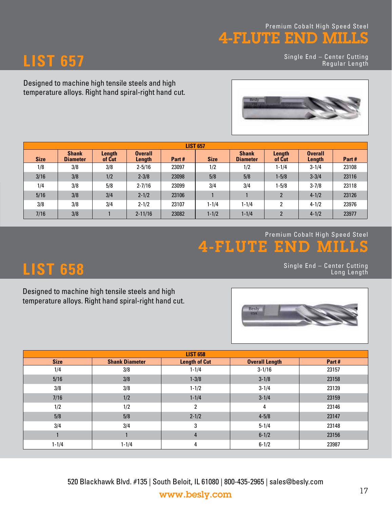### 4-FLUTE END MILLS Premium Cobalt High Speed Steel

Single End – Center Cutting Regular Length





|             | <b>LIST 657</b>                 |                  |                          |       |             |                                 |                  |                          |       |  |  |  |  |
|-------------|---------------------------------|------------------|--------------------------|-------|-------------|---------------------------------|------------------|--------------------------|-------|--|--|--|--|
| <b>Size</b> | <b>Shank</b><br><b>Diameter</b> | Length<br>of Cut | <b>Overall</b><br>Length | Part# | <b>Size</b> | <b>Shank</b><br><b>Diameter</b> | Length<br>of Cut | <b>Overall</b><br>Length | Part# |  |  |  |  |
| 1/8         | 3/8                             | 3/8              | $2 - 5/16$               | 23097 | 1/2         | 1/2                             | $1 - 1/4$        | $3 - 1/4$                | 23108 |  |  |  |  |
| 3/16        | 3/8                             | 1/2              | $2 - 3/8$                | 23098 | 5/8         | 5/8                             | $1 - 5/8$        | $3 - 3/4$                | 23116 |  |  |  |  |
| 1/4         | 3/8                             | 5/8              | $2 - 7/16$               | 23099 | 3/4         | 3/4                             | $1 - 5/8$        | $3 - 7/8$                | 23118 |  |  |  |  |
| 5/16        | 3/8                             | 3/4              | $2 - 1/2$                | 23106 |             |                                 | $\overline{2}$   | $4 - 1/2$                | 23126 |  |  |  |  |
| 3/8         | 3/8                             | 3/4              | $2 - 1/2$                | 23107 | $1 - 1/4$   | $1 - 1/4$                       | $\overline{2}$   | $4 - 1/2$                | 23976 |  |  |  |  |
| 7/16        | 3/8                             |                  | $2 - 11/16$              | 23082 | $1 - 1/2$   | $1 - 1/4$                       | $\overline{2}$   | $4 - 1/2$                | 23977 |  |  |  |  |

### **4-FLUTE END** Premium Cobalt High Speed Steel

# **LIST 658** Single End – Center Cutting Long Length

**LIST 657**

Designed to machine high tensile steels and high temperature alloys. Right hand spiral-right hand cut.



| <b>LIST 658</b> |                       |                      |                       |       |  |  |  |  |  |  |
|-----------------|-----------------------|----------------------|-----------------------|-------|--|--|--|--|--|--|
| <b>Size</b>     | <b>Shank Diameter</b> | <b>Length of Cut</b> | <b>Overall Length</b> | Part# |  |  |  |  |  |  |
| 1/4             | 3/8                   | $1 - 1/4$            | $3 - 1/16$            | 23157 |  |  |  |  |  |  |
| 5/16            | 3/8                   | $1 - 3/8$            | $3 - 1/8$             | 23158 |  |  |  |  |  |  |
| 3/8             | 3/8                   | $1 - 1/2$            | $3 - 1/4$             | 23139 |  |  |  |  |  |  |
| 7/16            | 1/2                   | $1 - 1/4$            | $3 - 1/4$             | 23159 |  |  |  |  |  |  |
| 1/2             | 1/2                   | 2                    | 4                     | 23146 |  |  |  |  |  |  |
| 5/8             | 5/8                   | $2 - 1/2$            | $4 - 5/8$             | 23147 |  |  |  |  |  |  |
| 3/4             | 3/4                   | 3                    | $5 - 1/4$             | 23148 |  |  |  |  |  |  |
|                 |                       | 4                    | $6 - 1/2$             | 23156 |  |  |  |  |  |  |
| $1 - 1/4$       | $1 - 1/4$             | 4                    | $6 - 1/2$             | 23987 |  |  |  |  |  |  |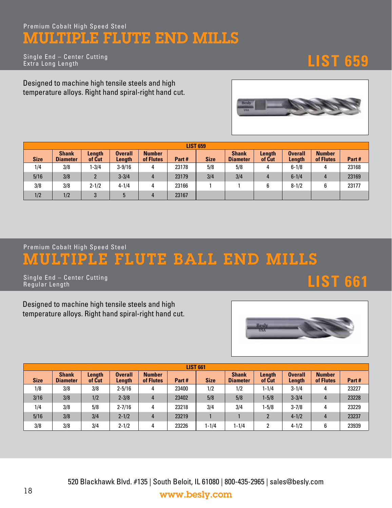### Premium Cobalt High Speed Steel MULTIPLE FLUTE END MILLS

**LIST 659** Single End – Center Cutting Extra Long Length

Designed to machine high tensile steels and high temperature alloys. Right hand spiral-right hand cut.



| <b>LIST 659</b> |                                 |                  |                          |                            |       |             |                                 |                  |                          |                            |       |  |
|-----------------|---------------------------------|------------------|--------------------------|----------------------------|-------|-------------|---------------------------------|------------------|--------------------------|----------------------------|-------|--|
| <b>Size</b>     | <b>Shank</b><br><b>Diameter</b> | Length<br>of Cut | <b>Overall</b><br>Length | <b>Number</b><br>of Flutes | Part# | <b>Size</b> | <b>Shank</b><br><b>Diameter</b> | Length<br>of Cut | <b>Overall</b><br>Length | <b>Number</b><br>of Flutes | Part# |  |
| 1/4             | 3/8                             | $-3/4$           | $3 - 9/16$               | 4                          | 23178 | 5/8         | 5/8                             |                  | $6 - 1/8$                | 4                          | 23168 |  |
| 5/16            | 3/8                             |                  | $3 - 3/4$                | 4                          | 23179 | 3/4         | 3/4                             |                  | $6 - 1/4$                | 4                          | 23169 |  |
| 3/8             | 3/8                             | $2 - 1/2$        | $4 - 1/4$                | 4                          | 23166 |             |                                 |                  | $8 - 1/2$                | 6                          | 23177 |  |
| 1/2             | 1/2                             | 3                | 5                        | 4                          | 23167 |             |                                 |                  |                          |                            |       |  |

Premium Cobalt High Speed Steel

# PLE FLUTE BALL END MILLS

**LIST 661** Single End – Center Cutting Regular Length

Designed to machine high tensile steels and high temperature alloys. Right hand spiral-right hand cut.



| <b>LIST 661</b> |                                 |                  |                          |                            |       |             |                                 |                  |                          |                            |       |  |
|-----------------|---------------------------------|------------------|--------------------------|----------------------------|-------|-------------|---------------------------------|------------------|--------------------------|----------------------------|-------|--|
| <b>Size</b>     | <b>Shank</b><br><b>Diameter</b> | Length<br>of Cut | <b>Overall</b><br>Length | <b>Number</b><br>of Flutes | Part# | <b>Size</b> | <b>Shank</b><br><b>Diameter</b> | Length<br>of Cut | <b>Overall</b><br>Length | <b>Number</b><br>of Flutes | Part# |  |
| 1/8             | 3/8                             | 3/8              | $2 - 5/16$               | 4                          | 23400 | 1/2         | 1/2                             | $1 - 1/4$        | $3 - 1/4$                | 4                          | 23227 |  |
| 3/16            | 3/8                             | 1/2              | $2 - 3/8$                | 4                          | 23402 | 5/8         | 5/8                             | $1 - 5/8$        | $3 - 3/4$                | 4                          | 23228 |  |
| 1/4             | 3/8                             | 5/8              | $2 - 7/16$               | 4                          | 23218 | 3/4         | 3/4                             | $1 - 5/8$        | $3 - 7/8$                | 4                          | 23229 |  |
| 5/16            | 3/8                             | 3/4              | $2 - 1/2$                | 4                          | 23219 |             |                                 |                  | $4 - 1/2$                | 4                          | 23237 |  |
| 3/8             | 3/8                             | 3/4              | $2 - 1/2$                | 4                          | 23226 | $1 - 1/4$   | $1 - 1/4$                       | ົ                | $4 - 1/2$                | 6                          | 23939 |  |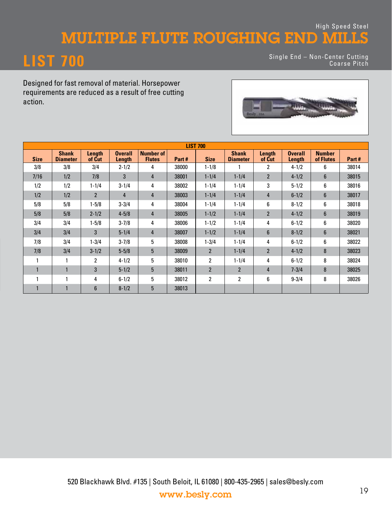### MULTIPLE FLUTE ROUGHING END MILLS High Speed Steel

# **LIST 700**

Single End – Non-Center Cutting Coarse Pitch

Designed for fast removal of material. Horsepower requirements are reduced as a result of free cutting action.



|              | <b>LIST 700</b>                 |                  |                          |                                   |       |                |                                 |                  |                          |                            |       |  |  |  |
|--------------|---------------------------------|------------------|--------------------------|-----------------------------------|-------|----------------|---------------------------------|------------------|--------------------------|----------------------------|-------|--|--|--|
| <b>Size</b>  | <b>Shank</b><br><b>Diameter</b> | Length<br>of Cut | <b>Overall</b><br>Length | <b>Number of</b><br><b>Flutes</b> | Part# | <b>Size</b>    | <b>Shank</b><br><b>Diameter</b> | Length<br>of Cut | <b>Overall</b><br>Length | <b>Number</b><br>of Flutes | Part# |  |  |  |
| 3/8          | 3/8                             | 3/4              | $2 - 1/2$                | 4                                 | 38000 | $1 - 1/8$      |                                 | 2                | $4 - 1/2$                | 6                          | 38014 |  |  |  |
| 7/16         | 1/2                             | 7/8              | 3                        | 4                                 | 38001 | $1 - 1/4$      | $1 - 1/4$                       | $\overline{2}$   | $4 - 1/2$                | $6\phantom{1}$             | 38015 |  |  |  |
| 1/2          | 1/2                             | $1 - 1/4$        | $3 - 1/4$                | 4                                 | 38002 | $1 - 1/4$      | $1 - 1/4$                       | 3                | $5 - 1/2$                | 6                          | 38016 |  |  |  |
| 1/2          | 1/2                             | $\overline{2}$   | $\overline{4}$           | 4                                 | 38003 | $1 - 1/4$      | $1 - 1/4$                       | 4                | $6 - 1/2$                | $6\phantom{1}$             | 38017 |  |  |  |
| 5/8          | 5/8                             | $1 - 5/8$        | $3 - 3/4$                | 4                                 | 38004 | $1 - 1/4$      | $1 - 1/4$                       | 6                | $8 - 1/2$                | 6                          | 38018 |  |  |  |
| 5/8          | 5/8                             | $2 - 1/2$        | $4 - 5/8$                | 4                                 | 38005 | $1 - 1/2$      | $1 - 1/4$                       | $\overline{2}$   | $4 - 1/2$                | $\boldsymbol{6}$           | 38019 |  |  |  |
| 3/4          | 3/4                             | $1 - 5/8$        | $3 - 7/8$                | 4                                 | 38006 | $1 - 1/2$      | $1 - 1/4$                       | 4                | $6 - 1/2$                | 6                          | 38020 |  |  |  |
| 3/4          | 3/4                             | 3                | $5 - 1/4$                | $\overline{4}$                    | 38007 | $1 - 1/2$      | $1 - 1/4$                       | $6\phantom{1}$   | $8 - 1/2$                | $6\phantom{1}$             | 38021 |  |  |  |
| 7/8          | 3/4                             | $1 - 3/4$        | $3 - 7/8$                | 5                                 | 38008 | $1 - 3/4$      | $1 - 1/4$                       | 4                | $6 - 1/2$                | 6                          | 38022 |  |  |  |
| 7/8          | 3/4                             | $3 - 1/2$        | $5 - 5/8$                | 5                                 | 38009 | $\overline{2}$ | $1 - 1/4$                       | $\overline{2}$   | $4 - 1/2$                | 8                          | 38023 |  |  |  |
|              |                                 | $\overline{2}$   | $4 - 1/2$                | 5                                 | 38010 | $\overline{2}$ | $1 - 1/4$                       | 4                | $6 - 1/2$                | 8                          | 38024 |  |  |  |
| $\mathbf{1}$ | $\mathbf{1}$                    | 3                | $5 - 1/2$                | 5                                 | 38011 | $\overline{2}$ | $\mathfrak{p}$                  | 4                | $7 - 3/4$                | 8                          | 38025 |  |  |  |
|              |                                 | 4                | $6 - 1/2$                | 5                                 | 38012 | $\overline{2}$ | 2                               | 6                | $9 - 3/4$                | 8                          | 38026 |  |  |  |
|              |                                 | $6\phantom{1}$   | $8 - 1/2$                | 5                                 | 38013 |                |                                 |                  |                          |                            |       |  |  |  |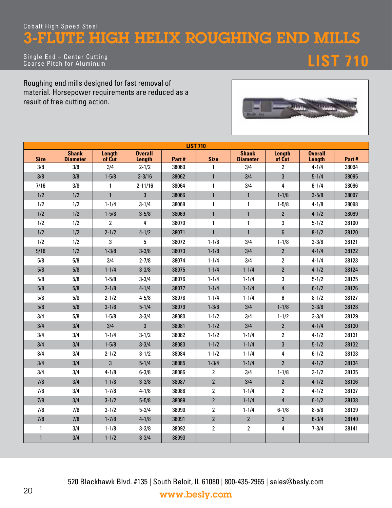### Cobalt High Speed Steel 3-FLUTE HIGH HELIX ROUGHING END MILLS

Single End – Center Cutting Coarse Pitch for Aluminum **LIST 710**

Roughing end mills designed for fast removal of material. Horsepower requirements are reduced as a result of free cutting action.



| <b>LIST 710</b> |                                 |                  |                          |       |                |                                 |                  |                          |       |  |
|-----------------|---------------------------------|------------------|--------------------------|-------|----------------|---------------------------------|------------------|--------------------------|-------|--|
| <b>Size</b>     | <b>Shank</b><br><b>Diameter</b> | Length<br>of Cut | <b>Overall</b><br>Length | Part# | <b>Size</b>    | <b>Shank</b><br><b>Diameter</b> | Length<br>of Cut | <b>Overall</b><br>Length | Part# |  |
| 3/8             | 3/8                             | 3/4              | $2 - 1/2$                | 38060 | $\mathbf{1}$   | 3/4                             | $\overline{c}$   | $4 - 1/4$                | 38094 |  |
| 3/8             | 3/8                             | $1 - 5/8$        | $3 - 3/16$               | 38062 | $\mathbf{1}$   | 3/4                             | 3                | $5 - 1/4$                | 38095 |  |
| 7/16            | 3/8                             | $\mathbf{1}$     | $2 - 11/16$              | 38064 | $\mathbf{1}$   | 3/4                             | 4                | $6 - 1/4$                | 38096 |  |
| 1/2             | 1/2                             | $\mathbf{1}$     | 3                        | 38066 | $\mathbf{1}$   | $\mathbf{1}$                    | $1 - 1/8$        | $3 - 5/8$                | 38097 |  |
| 1/2             | 1/2                             | $1 - 1/4$        | $3 - 1/4$                | 38068 | $\mathbf{1}$   | 1                               | $1 - 5/8$        | $4 - 1/8$                | 38098 |  |
| 1/2             | 1/2                             | $1 - 5/8$        | $3 - 5/8$                | 38069 | $\mathbf{1}$   | $\mathbf{1}$                    | $\overline{2}$   | $4 - 1/2$                | 38099 |  |
| 1/2             | 1/2                             | $\overline{2}$   | 4                        | 38070 | $\mathbf{1}$   | $\mathbf{1}$                    | 3                | $5 - 1/2$                | 38100 |  |
| 1/2             | 1/2                             | $2 - 1/2$        | $4 - 1/2$                | 38071 | $\mathbf{1}$   | $\mathbf{1}$                    | $6\phantom{1}$   | $8 - 1/2$                | 38120 |  |
| 1/2             | 1/2                             | 3                | 5                        | 38072 | $1 - 1/8$      | 3/4                             | $1 - 1/8$        | $3 - 3/8$                | 38121 |  |
| 9/16            | 1/2                             | $1 - 3/8$        | $3 - 3/8$                | 38073 | $1 - 1/8$      | 3/4                             | $\overline{2}$   | $4 - 1/4$                | 38122 |  |
| 5/8             | 5/8                             | 3/4              | $2 - 7/8$                | 38074 | $1 - 1/4$      | 3/4                             | $\overline{2}$   | $4 - 1/4$                | 38123 |  |
| 5/8             | 5/8                             | $1 - 1/4$        | $3 - 3/8$                | 38075 | $1 - 1/4$      | $1 - 1/4$                       | $\overline{2}$   | $4 - 1/2$                | 38124 |  |
| 5/8             | 5/8                             | $1 - 5/8$        | $3 - 3/4$                | 38076 | $1 - 1/4$      | $1 - 1/4$                       | 3                | $5 - 1/2$                | 38125 |  |
| 5/8             | 5/8                             | $2 - 1/8$        | $4 - 1/4$                | 38077 | $1 - 1/4$      | $1 - 1/4$                       | 4                | $6 - 1/2$                | 38126 |  |
| 5/8             | 5/8                             | $2 - 1/2$        | $4 - 5/8$                | 38078 | $1 - 1/4$      | $1 - 1/4$                       | 6                | $8 - 1/2$                | 38127 |  |
| 5/8             | 5/8                             | $3 - 1/8$        | $5 - 1/4$                | 38079 | $1 - 3/8$      | 3/4                             | $1 - 1/8$        | $3 - 3/8$                | 38128 |  |
| 3/4             | 5/8                             | $1 - 5/8$        | $3 - 3/4$                | 38080 | $1 - 1/2$      | 3/4                             | $1 - 1/2$        | $3 - 3/4$                | 38129 |  |
| 3/4             | 3/4                             | 3/4              | 3                        | 38081 | $1 - 1/2$      | 3/4                             | $\overline{2}$   | $4 - 1/4$                | 38130 |  |
| 3/4             | 3/4                             | $1 - 1/4$        | $3 - 1/2$                | 38082 | $1 - 1/2$      | $1 - 1/4$                       | $\overline{2}$   | $4 - 1/2$                | 38131 |  |
| 3/4             | 3/4                             | $1 - 5/8$        | $3 - 3/4$                | 38083 | $1 - 1/2$      | $1 - 1/4$                       | 3                | $5 - 1/2$                | 38132 |  |
| 3/4             | 3/4                             | $2 - 1/2$        | $3 - 1/2$                | 38084 | $1 - 1/2$      | $1 - 1/4$                       | 4                | $6 - 1/2$                | 38133 |  |
| 3/4             | 3/4                             | $\overline{3}$   | $5 - 1/4$                | 38085 | $1 - 3/4$      | $1 - 1/4$                       | $\overline{2}$   | $4 - 1/2$                | 38134 |  |
| 3/4             | 3/4                             | $4 - 1/8$        | $6 - 3/8$                | 38086 | $\overline{2}$ | 3/4                             | $1 - 1/8$        | $3 - 1/2$                | 38135 |  |
| 7/8             | 3/4                             | $1 - 1/8$        | $3 - 3/8$                | 38087 | $\overline{2}$ | 3/4                             | $\overline{2}$   | $4 - 1/2$                | 38136 |  |
| 7/8             | 3/4                             | $1 - 7/8$        | $4 - 1/8$                | 38088 | $\overline{2}$ | $1 - 1/4$                       | $\overline{2}$   | $4 - 1/2$                | 38137 |  |
| 7/8             | 3/4                             | $3 - 1/2$        | $5 - 5/8$                | 38089 | $\overline{2}$ | $1 - 1/4$                       | $\overline{4}$   | $6 - 1/2$                | 38138 |  |
| 7/8             | 7/8                             | $3 - 1/2$        | $5 - 3/4$                | 38090 | $\overline{2}$ | $1 - 1/4$                       | $6 - 1/8$        | $8 - 5/8$                | 38139 |  |
| 7/8             | 7/8                             | $1 - 7/8$        | $4 - 1/8$                | 38091 | $\overline{2}$ | $\overline{2}$                  | 3                | $6 - 3/4$                | 38140 |  |
| $\mathbf{1}$    | 3/4                             | $1 - 1/8$        | $3 - 3/8$                | 38092 | $\overline{2}$ | $\overline{2}$                  | 4                | $7 - 3/4$                | 38141 |  |
| $\mathbf{1}$    | 3/4                             | $1 - 1/2$        | $3 - 3/4$                | 38093 |                |                                 |                  |                          |       |  |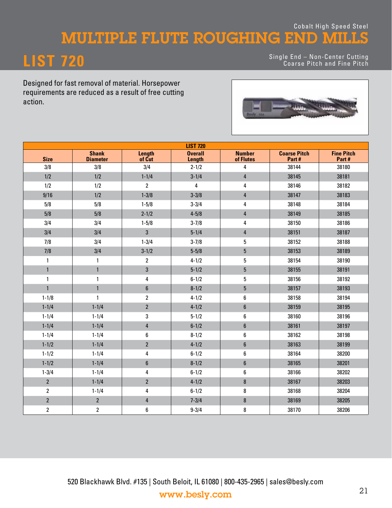### MULTIPLE FLUTE ROUGHING END MILLS Cobalt High Speed Steel

# **LIST 720**

Single End – Non-Center Cutting Coarse Pitch and Fine Pitch

Designed for fast removal of material. Horsepower requirements are reduced as a result of free cutting action.



|                | <b>LIST 720</b>                 |                  |                          |                            |                              |                            |  |  |  |  |  |
|----------------|---------------------------------|------------------|--------------------------|----------------------------|------------------------------|----------------------------|--|--|--|--|--|
| <b>Size</b>    | <b>Shank</b><br><b>Diameter</b> | Length<br>of Cut | <b>Overall</b><br>Length | <b>Number</b><br>of Flutes | <b>Coarse Pitch</b><br>Part# | <b>Fine Pitch</b><br>Part# |  |  |  |  |  |
| 3/8            | 3/8                             | 3/4              | $2 - 1/2$                | 4                          | 38144                        | 38180                      |  |  |  |  |  |
| 1/2            | 1/2                             | $1 - 1/4$        | $3 - 1/4$                | 4                          | 38145                        | 38181                      |  |  |  |  |  |
| 1/2            | 1/2                             | $\overline{2}$   | 4                        | 4                          | 38146                        | 38182                      |  |  |  |  |  |
| 9/16           | 1/2                             | $1 - 3/8$        | $3 - 3/8$                | 4                          | 38147                        | 38183                      |  |  |  |  |  |
| 5/8            | 5/8                             | $1 - 5/8$        | $3 - 3/4$                | 4                          | 38148                        | 38184                      |  |  |  |  |  |
| 5/8            | 5/8                             | $2 - 1/2$        | $4 - 5/8$                | 4                          | 38149                        | 38185                      |  |  |  |  |  |
| 3/4            | 3/4                             | $1 - 5/8$        | $3 - 7/8$                | 4                          | 38150                        | 38186                      |  |  |  |  |  |
| 3/4            | 3/4                             | $\mathbf{3}$     | $5 - 1/4$                | 4                          | 38151                        | 38187                      |  |  |  |  |  |
| 7/8            | 3/4                             | $1 - 3/4$        | $3 - 7/8$                | 5                          | 38152                        | 38188                      |  |  |  |  |  |
| 7/8            | 3/4                             | $3 - 1/2$        | $5 - 5/8$                | 5                          | 38153                        | 38189                      |  |  |  |  |  |
| $\mathbf{1}$   | 1                               | $\overline{2}$   | $4 - 1/2$                | 5                          | 38154                        | 38190                      |  |  |  |  |  |
| $\mathbf{1}$   | $\mathbf{1}$                    | $\mathbf{3}$     | $5 - 1/2$                | 5                          | 38155                        | 38191                      |  |  |  |  |  |
| $\mathbf{1}$   | $\mathbf{1}$                    | 4                | $6 - 1/2$                | 5                          | 38156                        | 38192                      |  |  |  |  |  |
| $\mathbf{1}$   | $\mathbf{1}$                    | $6\phantom{1}$   | $8 - 1/2$                | 5                          | 38157                        | 38193                      |  |  |  |  |  |
| $1 - 1/8$      | $\mathbf{1}$                    | $\overline{2}$   | $4 - 1/2$                | 6                          | 38158                        | 38194                      |  |  |  |  |  |
| $1 - 1/4$      | $1 - 1/4$                       | $\overline{2}$   | $4 - 1/2$                | 6                          | 38159                        | 38195                      |  |  |  |  |  |
| $1 - 1/4$      | $1 - 1/4$                       | 3                | $5 - 1/2$                | 6                          | 38160                        | 38196                      |  |  |  |  |  |
| $1 - 1/4$      | $1 - 1/4$                       | $\overline{4}$   | $6 - 1/2$                | 6                          | 38161                        | 38197                      |  |  |  |  |  |
| $1 - 1/4$      | $1 - 1/4$                       | 6                | $8 - 1/2$                | 6                          | 38162                        | 38198                      |  |  |  |  |  |
| $1 - 1/2$      | $1 - 1/4$                       | $\overline{2}$   | $4 - 1/2$                | 6                          | 38163                        | 38199                      |  |  |  |  |  |
| $1 - 1/2$      | $1 - 1/4$                       | 4                | $6 - 1/2$                | 6                          | 38164                        | 38200                      |  |  |  |  |  |
| $1 - 1/2$      | $1 - 1/4$                       | $\boldsymbol{6}$ | $8 - 1/2$                | $\boldsymbol{6}$           | 38165                        | 38201                      |  |  |  |  |  |
| $1 - 3/4$      | $1 - 1/4$                       | 4                | $6 - 1/2$                | 6                          | 38166                        | 38202                      |  |  |  |  |  |
| $\sqrt{2}$     | $1 - 1/4$                       | $\overline{2}$   | $4 - 1/2$                | $\bf 8$                    | 38167                        | 38203                      |  |  |  |  |  |
| $\overline{2}$ | $1 - 1/4$                       | 4                | $6 - 1/2$                | 8                          | 38168                        | 38204                      |  |  |  |  |  |
| $\overline{2}$ | $\overline{2}$                  | $\overline{4}$   | $7 - 3/4$                | $\bf 8$                    | 38169                        | 38205                      |  |  |  |  |  |
| $\sqrt{2}$     | $\overline{2}$                  | 6                | $9 - 3/4$                | 8                          | 38170                        | 38206                      |  |  |  |  |  |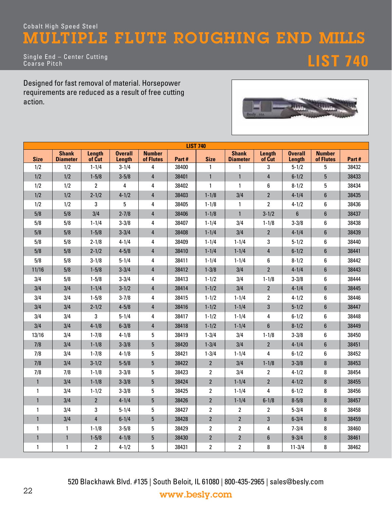## Cobalt High Speed Steel MULTIPLE FLUTE ROUGHING END MILLS

Single End – Center Cutting Coarse Pitch **LIST 740**

Designed for fast removal of material. Horsepower requirements are reduced as a result of free cutting action.



| <b>LIST 740</b> |                                 |                  |                          |                            |       |                         |                                 |                  |                          |                            |       |
|-----------------|---------------------------------|------------------|--------------------------|----------------------------|-------|-------------------------|---------------------------------|------------------|--------------------------|----------------------------|-------|
| <b>Size</b>     | <b>Shank</b><br><b>Diameter</b> | Length<br>of Cut | <b>Overall</b><br>Length | <b>Number</b><br>of Flutes | Part# | <b>Size</b>             | <b>Shank</b><br><b>Diameter</b> | Length<br>of Cut | <b>Overall</b><br>Length | <b>Number</b><br>of Flutes | Part# |
| 1/2             | 1/2                             | $1 - 1/4$        | $3 - 1/4$                | 4                          | 38400 | 1                       | $\mathbf{1}$                    | 3                | $5 - 1/2$                | 5                          | 38432 |
| 1/2             | 1/2                             | $1 - 5/8$        | $3 - 5/8$                | $\overline{4}$             | 38401 | $\mathbf{1}$            | $\mathbf{1}$                    | $\overline{4}$   | $6 - 1/2$                | $5\phantom{.0}$            | 38433 |
| 1/2             | 1/2                             | $\overline{2}$   | 4                        | 4                          | 38402 | 1                       | $\mathbf{1}$                    | 6                | $8 - 1/2$                | 5                          | 38434 |
| 1/2             | 1/2                             | $2 - 1/2$        | $4 - 1/2$                | $\overline{4}$             | 38403 | $1 - 1/8$               | 3/4                             | $\overline{2}$   | $4 - 1/4$                | $\boldsymbol{6}$           | 38435 |
| 1/2             | 1/2                             | 3                | 5                        | 4                          | 38405 | $1 - 1/8$               | $\mathbf{1}$                    | $\overline{2}$   | $4 - 1/2$                | 6                          | 38436 |
| 5/8             | 5/8                             | 3/4              | $2 - 7/8$                | 4                          | 38406 | $1 - 1/8$               | $\mathbf{1}$                    | $3 - 1/2$        | $\boldsymbol{6}$         | $6\phantom{1}$             | 38437 |
| 5/8             | 5/8                             | $1 - 1/4$        | $3 - 3/8$                | 4                          | 38407 | $1 - 1/4$               | 3/4                             | $1 - 1/8$        | $3 - 3/8$                | 6                          | 38438 |
| 5/8             | 5/8                             | $1 - 5/8$        | $3 - 3/4$                | $\overline{4}$             | 38408 | $1 - 1/4$               | 3/4                             | $\overline{2}$   | $4 - 1/4$                | $6\phantom{1}$             | 38439 |
| 5/8             | 5/8                             | $2 - 1/8$        | $4 - 1/4$                | 4                          | 38409 | $1 - 1/4$               | $1 - 1/4$                       | 3                | $5 - 1/2$                | 6                          | 38440 |
| 5/8             | 5/8                             | $2 - 1/2$        | $4 - 5/8$                | $\overline{4}$             | 38410 | $1 - 1/4$               | $1 - 1/4$                       | $\overline{4}$   | $6 - 1/2$                | $6\phantom{.}$             | 38441 |
| 5/8             | 5/8                             | $3 - 1/8$        | $5 - 1/4$                | 4                          | 38411 | $1 - 1/4$               | $1 - 1/4$                       | 6                | $8 - 1/2$                | 6                          | 38442 |
| 11/16           | 5/8                             | $1 - 5/8$        | $3 - 3/4$                | $\overline{4}$             | 38412 | $1 - 3/8$               | 3/4                             | $\overline{2}$   | $4 - 1/4$                | 6                          | 38443 |
| 3/4             | 5/8                             | $1 - 5/8$        | $3 - 3/4$                | 4                          | 38413 | $1 - 1/2$               | 3/4                             | $1 - 1/8$        | $3 - 3/8$                | 6                          | 38444 |
| 3/4             | 3/4                             | $1 - 1/4$        | $3 - 1/2$                | $\overline{4}$             | 38414 | $1 - 1/2$               | 3/4                             | $\overline{2}$   | $4 - 1/4$                | 6                          | 38445 |
| 3/4             | 3/4                             | $1 - 5/8$        | $3 - 7/8$                | 4                          | 38415 | $1 - 1/2$               | $1 - 1/4$                       | $\overline{2}$   | $4 - 1/2$                | 6                          | 38446 |
| 3/4             | 3/4                             | $2 - 1/2$        | $4 - 5/8$                | $\overline{4}$             | 38416 | $1 - 1/2$               | $1 - 1/4$                       | 3                | $5 - 1/2$                | $\boldsymbol{6}$           | 38447 |
| 3/4             | 3/4                             | 3                | $5 - 1/4$                | 4                          | 38417 | $1 - 1/2$               | $1 - 1/4$                       | 4                | $6 - 1/2$                | 6                          | 38448 |
| 3/4             | 3/4                             | $4 - 1/8$        | $6 - 3/8$                | $\overline{4}$             | 38418 | $1 - 1/2$               | $1 - 1/4$                       | $6\phantom{1}$   | $8 - 1/2$                | $\boldsymbol{6}$           | 38449 |
| 13/16           | 3/4                             | $1 - 7/8$        | $4 - 1/8$                | 5                          | 38419 | $1 - 3/4$               | 3/4                             | $1 - 1/8$        | $3 - 3/8$                | 6                          | 38450 |
| 7/8             | 3/4                             | $1 - 1/8$        | $3 - 3/8$                | $5\phantom{.0}$            | 38420 | $1 - 3/4$               | 3/4                             | $\overline{2}$   | $4 - 1/4$                | $6\phantom{1}$             | 38451 |
| 7/8             | 3/4                             | $1 - 7/8$        | $4 - 1/8$                | 5                          | 38421 | $1 - 3/4$               | $1 - 1/4$                       | 4                | $6 - 1/2$                | 6                          | 38452 |
| 7/8             | 3/4                             | $3 - 1/2$        | $5 - 5/8$                | $5\phantom{.0}$            | 38422 | $\overline{2}$          | 3/4                             | $1 - 1/8$        | $3 - 3/8$                | 8                          | 38453 |
| 7/8             | 7/8                             | $1 - 1/8$        | $3 - 3/8$                | 5                          | 38423 | 2                       | 3/4                             | $\mathbf{2}$     | $4 - 1/2$                | 8                          | 38454 |
| $\mathbf{1}$    | 3/4                             | $1 - 1/8$        | $3 - 3/8$                | $5\phantom{.0}$            | 38424 | $\overline{2}$          | $1 - 1/4$                       | $\overline{2}$   | $4 - 1/2$                | 8                          | 38455 |
| $\mathbf{1}$    | 3/4                             | $1 - 1/2$        | $3 - 3/8$                | 5                          | 38425 | $\overline{\mathbf{c}}$ | $1 - 1/4$                       | 4                | $6 - 1/2$                | 8                          | 38456 |
| $\mathbf{1}$    | 3/4                             | $\overline{2}$   | $4 - 1/4$                | $\overline{5}$             | 38426 | $\overline{\mathbf{2}}$ | $1 - 1/4$                       | $6 - 1/8$        | $8 - 5/8$                | $\bf 8$                    | 38457 |
| $\mathbf{1}$    | 3/4                             | 3                | $5 - 1/4$                | 5                          | 38427 | $\overline{\mathbf{c}}$ | $\overline{2}$                  | $\overline{2}$   | $5 - 3/4$                | 8                          | 38458 |
| $\mathbf{1}$    | 3/4                             | $\overline{4}$   | $6 - 1/4$                | $5\phantom{.0}$            | 38428 | $\overline{2}$          | $\overline{2}$                  | 3                | $6 - 3/4$                | 8                          | 38459 |
| $\mathbf{1}$    | $\mathbf{1}$                    | $1 - 1/8$        | $3 - 5/8$                | 5                          | 38429 | $\overline{\mathbf{c}}$ | $\overline{2}$                  | 4                | $7 - 3/4$                | 8                          | 38460 |
| $\mathbf{1}$    | $\mathbf{1}$                    | $1 - 5/8$        | $4 - 1/8$                | $\overline{5}$             | 38430 | $\overline{2}$          | $\overline{2}$                  | $\boldsymbol{6}$ | $9 - 3/4$                | $\bf 8$                    | 38461 |
| 1               | $\mathbf{1}$                    | $\overline{2}$   | $4 - 1/2$                | 5                          | 38431 | $\overline{\mathbf{2}}$ | $\overline{2}$                  | 8                | $11 - 3/4$               | 8                          | 38462 |

#### 520 Blackhawk Blvd. #135 | South Beloit, IL 61080 | 800-435-2965 | sales@besly.com <sup>22</sup> www.besly.com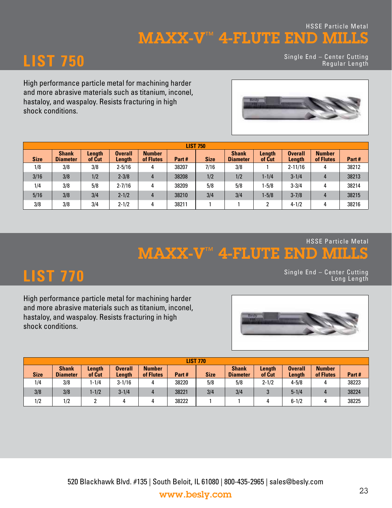### MAXX-V™ 4-FLUTE END MILLS HSSE Particle Metal

# **LIST 750**

Single End – Center Cutting Regular Length

High performance particle metal for machining harder and more abrasive materials such as titanium, inconel, hastaloy, and waspaloy. Resists fracturing in high shock conditions.



| <b>LIST 750</b> |                                 |                         |                          |                            |       |             |                                 |                  |                          |                            |       |
|-----------------|---------------------------------|-------------------------|--------------------------|----------------------------|-------|-------------|---------------------------------|------------------|--------------------------|----------------------------|-------|
| <b>Size</b>     | <b>Shank</b><br><b>Diameter</b> | <b>Length</b><br>of Cut | <b>Overall</b><br>Length | <b>Number</b><br>of Flutes | Part# | <b>Size</b> | <b>Shank</b><br><b>Diameter</b> | Length<br>of Cut | <b>Overall</b><br>Length | <b>Number</b><br>of Flutes | Part# |
| 1/8             | 3/8                             | 3/8                     | $2 - 5/16$               | 4                          | 38207 | 7/16        | 3/8                             |                  | $2 - 11/16$              | 4                          | 38212 |
| 3/16            | 3/8                             | 1/2                     | $2 - 3/8$                | 4                          | 38208 | 1/2         | 1/2                             | $1 - 1/4$        | $3 - 1/4$                | 4                          | 38213 |
| 1/4             | 3/8                             | 5/8                     | $2 - 7/16$               | 4                          | 38209 | 5/8         | 5/8                             | 1-5/8            | $3 - 3/4$                | 4                          | 38214 |
| 5/16            | 3/8                             | 3/4                     | $2 - 1/2$                | 4                          | 38210 | 3/4         | 3/4                             | $1 - 5/8$        | $3 - 7/8$                | $\overline{4}$             | 38215 |
| 3/8             | 3/8                             | 3/4                     | $2 - 1/2$                |                            | 38211 |             |                                 | ົ                | $4 - 1/2$                | 4                          | 38216 |

MAXX-V™ 4-FLUTE END MILLS HSSE Particle Metal

**LIST 770** Single End – Center Cutting Long Length

High performance particle metal for machining harder and more abrasive materials such as titanium, inconel, hastaloy, and waspaloy. Resists fracturing in high shock conditions.



| <b>LIST 770</b> |                                 |                  |                   |                            |       |             |                                 |                  |                          |                            |       |
|-----------------|---------------------------------|------------------|-------------------|----------------------------|-------|-------------|---------------------------------|------------------|--------------------------|----------------------------|-------|
| <b>Size</b>     | <b>Shank</b><br><b>Diameter</b> | Length<br>of Cut | Overall<br>Length | <b>Number</b><br>of Flutes | Part# | <b>Size</b> | <b>Shank</b><br><b>Diameter</b> | Length<br>of Cut | <b>Overall</b><br>Length | <b>Number</b><br>of Flutes | Part# |
| 1/4             | 3/8                             | $-1/4$           | $3 - 1/16$        | 4                          | 38220 | 5/8         | 5/8                             | $2 - 1/2$        | $4 - 5/8$                |                            | 38223 |
| 3/8             | 3/8                             | $-1/2$           | $3 - 1/4$         |                            | 38221 | 3/4         | 3/4                             |                  | $5 - 1/4$                |                            | 38224 |
| 1/2             | 1/2                             |                  | 4                 | 4                          | 38222 |             |                                 |                  | $6 - 1/2$                |                            | 38225 |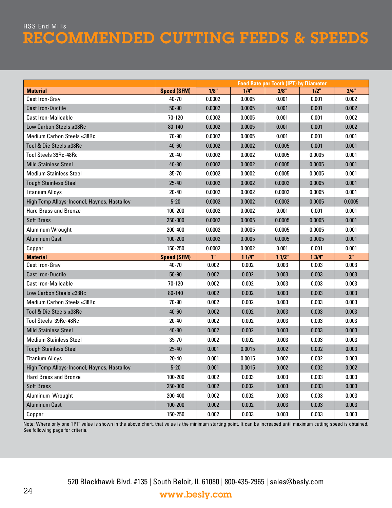## HSS End Mills RECOMMENDED CUTTING FEEDS & SPEEDS

|                                             |                    |                |        | <b>Feed Rate per Tooth (IPT) by Diameter</b> |         |                |
|---------------------------------------------|--------------------|----------------|--------|----------------------------------------------|---------|----------------|
| <b>Material</b>                             | <b>Speed (SFM)</b> | 1/8"           | 1/4"   | 3/8"                                         | $1/2$ " | 3/4"           |
| Cast Iron-Gray                              | 40-70              | 0.0002         | 0.0005 | 0.001                                        | 0.001   | 0.002          |
| <b>Cast Iron-Ductile</b>                    | $50-90$            | 0.0002         | 0.0005 | 0.001                                        | 0.001   | 0.002          |
| <b>Cast Iron-Malleable</b>                  | 70-120             | 0.0002         | 0.0005 | 0.001                                        | 0.001   | 0.002          |
| Low Carbon Steels ≤38Rc                     | 80-140             | 0.0002         | 0.0005 | 0.001                                        | 0.001   | 0.002          |
| Medium Carbon Steels ≤38Rc                  | 70-90              | 0.0002         | 0.0005 | 0.001                                        | 0.001   | 0.001          |
| Tool & Die Steels ≤38Rc                     | $40 - 60$          | 0.0002         | 0.0002 | 0.0005                                       | 0.001   | 0.001          |
| Tool Steels 39Rc-48Rc                       | 20-40              | 0.0002         | 0.0002 | 0.0005                                       | 0.0005  | 0.001          |
| <b>Mild Stainless Steel</b>                 | $40 - 80$          | 0.0002         | 0.0002 | 0.0005                                       | 0.0005  | 0.001          |
| <b>Medium Stainless Steel</b>               | $35 - 70$          | 0.0002         | 0.0002 | 0.0005                                       | 0.0005  | 0.001          |
| <b>Tough Stainless Steel</b>                | $25 - 40$          | 0.0002         | 0.0002 | 0.0002                                       | 0.0005  | 0.001          |
| <b>Titanium Alloys</b>                      | 20-40              | 0.0002         | 0.0002 | 0.0002                                       | 0.0005  | 0.001          |
| High Temp Alloys-Inconel, Haynes, Hastalloy | $5 - 20$           | 0.0002         | 0.0002 | 0.0002                                       | 0.0005  | 0.0005         |
| <b>Hard Brass and Bronze</b>                | 100-200            | 0.0002         | 0.0002 | 0.001                                        | 0.001   | 0.001          |
| <b>Soft Brass</b>                           | 250-300            | 0.0002         | 0.0005 | 0.0005                                       | 0.0005  | 0.001          |
| Aluminum Wrought                            | 200-400            | 0.0002         | 0.0005 | 0.0005                                       | 0.0005  | 0.001          |
| <b>Aluminum Cast</b>                        | 100-200            | 0.0002         | 0.0005 | 0.0005                                       | 0.0005  | 0.001          |
| Copper                                      | 150-250            | 0.0002         | 0.0002 | 0.001                                        | 0.001   | 0.001          |
| <b>Material</b>                             | <b>Speed (SFM)</b> | 1 <sup>n</sup> | 11/4"  | 11/2"                                        | 13/4"   | 2 <sup>n</sup> |
| Cast Iron-Gray                              | $40 - 70$          | 0.002          | 0.002  | 0.003                                        | 0.003   | 0.003          |
| <b>Cast Iron-Ductile</b>                    | $50-90$            | 0.002          | 0.002  | 0.003                                        | 0.003   | 0.003          |
| <b>Cast Iron-Malleable</b>                  | 70-120             | 0.002          | 0.002  | 0.003                                        | 0.003   | 0.003          |
| Low Carbon Steels ≤38Rc                     | 80-140             | 0.002          | 0.002  | 0.003                                        | 0.003   | 0.003          |
| Medium Carbon Steels ≤38Rc                  | 70-90              | 0.002          | 0.002  | 0.003                                        | 0.003   | 0.003          |
| Tool & Die Steels ≤38Rc                     | $40 - 60$          | 0.002          | 0.002  | 0.003                                        | 0.003   | 0.003          |
| Tool Steels 39Rc-48Rc                       | $20 - 40$          | 0.002          | 0.002  | 0.003                                        | 0.003   | 0.003          |
| <b>Mild Stainless Steel</b>                 | $40 - 80$          | 0.002          | 0.002  | 0.003                                        | 0.003   | 0.003          |
| <b>Medium Stainless Steel</b>               | $35 - 70$          | 0.002          | 0.002  | 0.003                                        | 0.003   | 0.003          |
| <b>Tough Stainless Steel</b>                | $25 - 40$          | 0.001          | 0.0015 | 0.002                                        | 0.002   | 0.003          |
| <b>Titanium Alloys</b>                      | $20 - 40$          | 0.001          | 0.0015 | 0.002                                        | 0.002   | 0.003          |
| High Temp Alloys-Inconel, Haynes, Hastalloy | $5 - 20$           | 0.001          | 0.0015 | 0.002                                        | 0.002   | 0.002          |
| <b>Hard Brass and Bronze</b>                | 100-200            | 0.002          | 0.003  | 0.003                                        | 0.003   | 0.003          |
| <b>Soft Brass</b>                           | 250-300            | 0.002          | 0.002  | 0.003                                        | 0.003   | 0.003          |
| Aluminum Wrought                            | 200-400            | 0.002          | 0.002  | 0.003                                        | 0.003   | 0.003          |
| <b>Aluminum Cast</b>                        | 100-200            | 0.002          | 0.002  | 0.003                                        | 0.003   | 0.003          |
| Copper                                      | 150-250            | 0.002          | 0.003  | 0.003                                        | 0.003   | 0.003          |

Note: Where only one "IPT" value is shown in the above chart, that value is the minimum starting point. It can be increased until maximum cutting speed is obtained. See following page for criteria.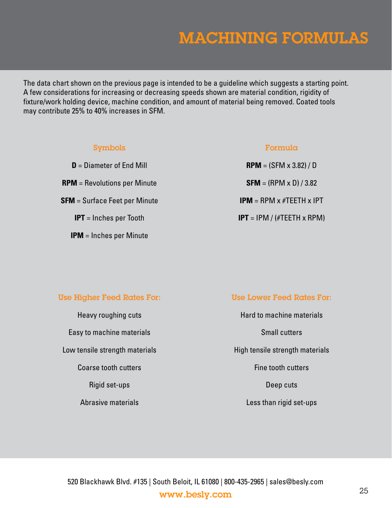# MACHINING FORMULAS

The data chart shown on the previous page is intended to be a guideline which suggests a starting point. A few considerations for increasing or decreasing speeds shown are material condition, rigidity of fixture/work holding device, machine condition, and amount of material being removed. Coated tools may contribute 25% to 40% increases in SFM.

| <b>Symbols</b>                       | Formula                                       |
|--------------------------------------|-----------------------------------------------|
| $D =$ Diameter of End Mill           | <b>RPM</b> = $(SFM \times 3.82) / D$          |
| $RPM = Revolutions per Minute$       | <b>SFM</b> = $(RPM \times D) / 3.82$          |
| <b>SFM</b> = Surface Feet per Minute | <b>IPM</b> = RPM $\times$ #TEETH $\times$ IPT |
| $IPT =$ Inches per Tooth             | <b>IPT</b> = IPM / (#TEETH x RPM)             |
| $IPM =$ Inches per Minute            |                                               |

#### Use Higher Feed Rates For: Use Lower Feed Rates For:

Heavy roughing cuts **Hard to machine materials** Easy to machine materials **Small cutters** Small cutters

Low tensile strength materials **High tensile strength materials Coarse tooth cutters Fine tooth cutters**  $\overline{F}$  Fine tooth cutters Rigid set-ups Deep cuts Abrasive materials **Abrasive materials** Abrasive materials and the Less than rigid set-ups